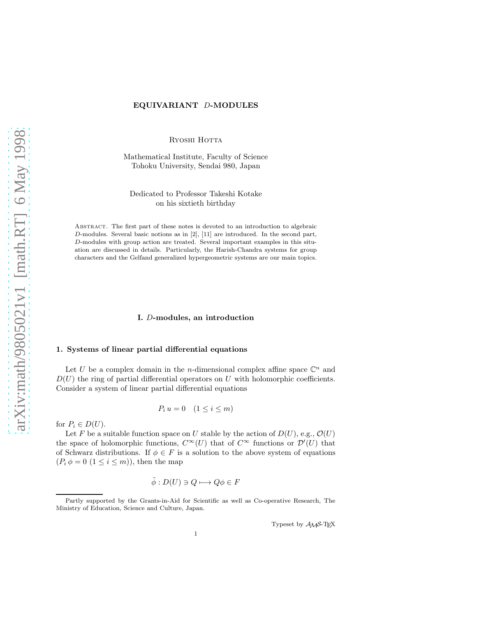# EQUIVARIANT D-MODULES

RYOSHI HOTTA

Mathematical Institute, Faculty of Science Tohoku University, Sendai 980, Japan

Dedicated to Professor Takeshi Kotake on his sixtieth birthday

Abstract. The first part of these notes is devoted to an introduction to algebraic D-modules. Several basic notions as in [2], [11] are introduced. In the second part, D-modules with group action are treated. Several important examples in this situation are discussed in details. Particularly, the Harish-Chandra systems for group characters and the Gelfand generalized hypergeometric systems are our main topics.

# I. D-modules, an introduction

# 1. Systems of linear partial differential equations

Let U be a complex domain in the *n*-dimensional complex affine space  $\mathbb{C}^n$  and  $D(U)$  the ring of partial differential operators on U with holomorphic coefficients. Consider a system of linear partial differential equations

$$
P_i u = 0 \quad (1 \le i \le m)
$$

for  $P_i \in D(U)$ .

Let F be a suitable function space on U stable by the action of  $D(U)$ , e.g.,  $\mathcal{O}(U)$ the space of holomorphic functions,  $C^{\infty}(U)$  that of  $C^{\infty}$  functions or  $\mathcal{D}'(U)$  that of Schwarz distributions. If  $\phi \in F$  is a solution to the above system of equations  $(P_i \phi = 0 \ (1 \leq i \leq m))$ , then the map

$$
\tilde{\phi}: D(U) \ni Q \longmapsto Q\phi \in F
$$

Typeset by AMS-TEX

Partly supported by the Grants-in-Aid for Scientific as well as Co-operative Research, The Ministry of Education, Science and Culture, Japan.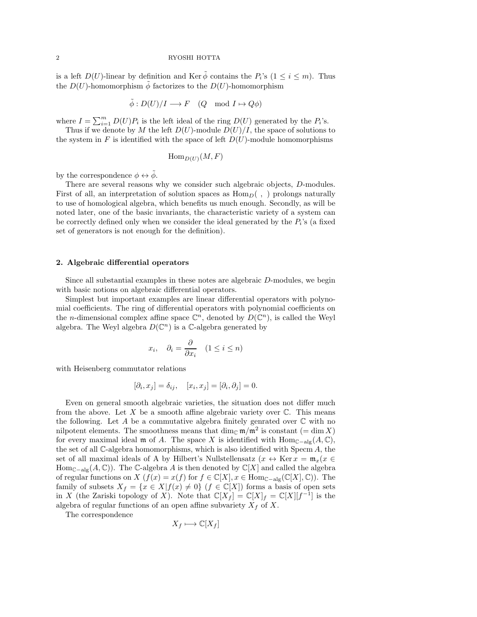is a left  $D(U)$ -linear by definition and Ker  $\tilde{\phi}$  contains the  $P_i$ 's  $(1 \leq i \leq m)$ . Thus the  $D(U)$ -homomorphism  $\phi$  factorizes to the  $D(U)$ -homomorphism

$$
\tilde{\phi}: D(U)/I \longrightarrow F \quad (Q \mod I \mapsto Q\phi)
$$

where  $I = \sum_{i=1}^{m} D(U)P_i$  is the left ideal of the ring  $D(U)$  generated by the  $P_i$ 's.

Thus if we denote by M the left  $D(U)$ -module  $D(U)/I$ , the space of solutions to the system in F is identified with the space of left  $D(U)$ -module homomorphisms

$$
\operatorname{Hom}_{D(U)}(M,F)
$$

by the correspondence  $\phi \leftrightarrow \tilde{\phi}$ .

There are several reasons why we consider such algebraic objects, D-modules. First of all, an interpretation of solution spaces as  $\text{Hom}_{D}(\cdot, \cdot)$  prolongs naturally to use of homological algebra, which benefits us much enough. Secondly, as will be noted later, one of the basic invariants, the characteristic variety of a system can be correctly defined only when we consider the ideal generated by the  $P_i$ 's (a fixed set of generators is not enough for the definition).

#### 2. Algebraic differential operators

Since all substantial examples in these notes are algebraic D-modules, we begin with basic notions on algebraic differential operators.

Simplest but important examples are linear differential operators with polynomial coefficients. The ring of differential operators with polynomial coefficients on the *n*-dimensional complex affine space  $\mathbb{C}^n$ , denoted by  $D(\mathbb{C}^n)$ , is called the Weyl algebra. The Weyl algebra  $D(\mathbb{C}^n)$  is a C-algebra generated by

$$
x_i, \quad \partial_i = \frac{\partial}{\partial x_i} \quad (1 \le i \le n)
$$

with Heisenberg commutator relations

$$
[\partial_i, x_j] = \delta_{ij}, \quad [x_i, x_j] = [\partial_i, \partial_j] = 0.
$$

Even on general smooth algebraic varieties, the situation does not differ much from the above. Let  $X$  be a smooth affine algebraic variety over  $\mathbb{C}$ . This means the following. Let A be a commutative algebra finitely genrated over  $\mathbb C$  with no nilpotent elements. The smoothness means that  $\dim_{\mathbb{C}} \mathfrak{m}/\mathfrak{m}^2$  is constant  $(=\dim X)$ for every maximal ideal m of A. The space X is identified with  $\text{Hom}_{\mathbb{C}-\text{alg}}(A,\mathbb{C}),$ the set of all C-algebra homomorphisms, which is also identified with Specm A, the set of all maximal ideals of A by Hilbert's Nullstellensatz  $(x \leftrightarrow \text{Ker } x = \mathfrak{m}_x(x \in$  $\text{Hom}_{\mathbb{C}-\text{alg}}(A,\mathbb{C})$ . The C-algebra A is then denoted by  $\mathbb{C}[X]$  and called the algebra of regular functions on X  $(f(x) = x(f)$  for  $f \in \mathbb{C}[X], x \in \text{Hom}_{\mathbb{C}-\text{alg}}(\mathbb{C}[X], \mathbb{C})$ . The family of subsets  $X_f = \{x \in X | f(x) \neq 0\}$   $(f \in \mathbb{C}[X])$  forms a basis of open sets in X (the Zariski topology of X). Note that  $\mathbb{C}[X_f] = \mathbb{C}[X]_f = \mathbb{C}[X][f^{-1}]$  is the algebra of regular functions of an open affine subvariety  $X_f$  of X.

The correspondence

$$
X_f \longmapsto \mathbb{C}[X_f]
$$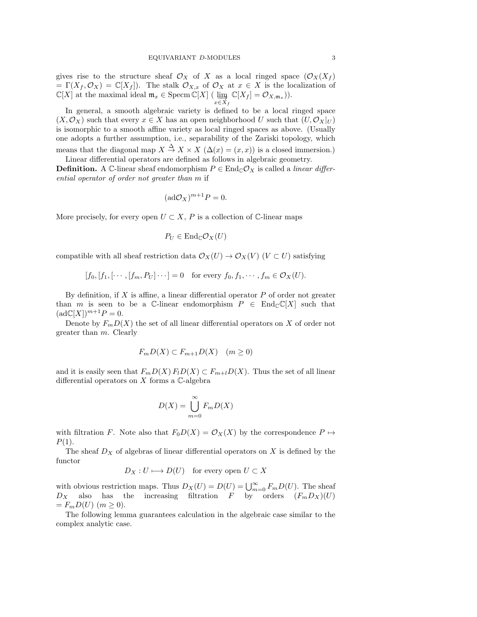gives rise to the structure sheaf  $\mathcal{O}_X$  of X as a local ringed space  $(\mathcal{O}_X(X_f))$ =  $\Gamma(X_f, \mathcal{O}_X) = \mathbb{C}[X_f]$ . The stalk  $\mathcal{O}_{X,x}$  of  $\mathcal{O}_X$  at  $x \in X$  is the localization of  $\mathbb{C}[X]$  at the maximal ideal  $\mathfrak{m}_x \in \text{Specm}\,\mathbb{C}[X]$  ( $\lim_{x \in X_f} \mathbb{C}[X_f] = \mathcal{O}_{X,\mathfrak{m}_x}$ )).

In general, a smooth algebraic variety is defined to be a local ringed space  $(X, \mathcal{O}_X)$  such that every  $x \in X$  has an open neighborhood U such that  $(U, \mathcal{O}_X|_U)$ is isomorphic to a smooth affine variety as local ringed spaces as above. (Usually one adopts a further assumption, i.e., separability of the Zariski topology, which means that the diagonal map  $X \stackrel{\Delta}{\to} X \times X$   $(\Delta(x) = (x, x))$  is a closed immersion.)

Linear differential operators are defined as follows in algebraic geometry. **Definition.** A C-linear sheaf endomorphism  $P \in \text{End}_{\mathbb{C}}O_X$  is called a *linear differ*ential operator of order not greater than m if

$$
(\mathrm{ad}\mathcal{O}_X)^{m+1}P=0.
$$

More precisely, for every open  $U \subset X$ , P is a collection of C-linear maps

$$
P_U \in \operatorname{End}_{\mathbb{C}} \mathcal{O}_X(U)
$$

compatible with all sheaf restriction data  $\mathcal{O}_X(U) \to \mathcal{O}_X(V)$  ( $V \subset U$ ) satisfying

$$
[f_0, [f_1, [\cdots, [f_m, P_U] \cdots] = 0 \text{ for every } f_0, f_1, \cdots, f_m \in \mathcal{O}_X(U).
$$

By definition, if  $X$  is affine, a linear differential operator  $P$  of order not greater than m is seen to be a C-linear endomorphism  $P \in \text{End}_{\mathbb{C}}(\mathbb{Z}[X])$  such that  $(\text{ad}\mathbb{C}[X])^{m+1}P=0.$ 

Denote by  $F_mD(X)$  the set of all linear differential operators on X of order not greater than m. Clearly

$$
F_m D(X) \subset F_{m+1} D(X) \quad (m \ge 0)
$$

and it is easily seen that  $F_mD(X)F_lD(X) \subset F_{m+l}D(X)$ . Thus the set of all linear differential operators on  $X$  forms a  $\mathbb C$ -algebra

$$
D(X) = \bigcup_{m=0}^{\infty} F_m D(X)
$$

with filtration F. Note also that  $F_0D(X) = \mathcal{O}_X(X)$  by the correspondence  $P \mapsto$  $P(1)$ .

The sheaf  $D_X$  of algebras of linear differential operators on X is defined by the functor

$$
D_X: U \longmapsto D(U) \quad \text{for every open } U \subset X
$$

with obvious restriction maps. Thus  $D_X(U) = D(U) = \bigcup_{m=0}^{\infty} F_m D(U)$ . The sheaf  $D_X$  also has the increasing filtration F by orders  $(F_m D_X)(U)$  $= F_m D(U)$   $(m \geq 0)$ .

The following lemma guarantees calculation in the algebraic case similar to the complex analytic case.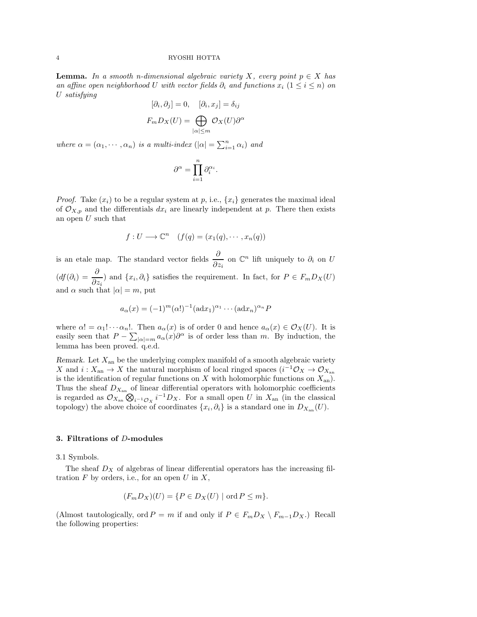**Lemma.** In a smooth n-dimensional algebraic variety X, every point  $p \in X$  has an affine open neighborhood U with vector fields  $\partial_i$  and functions  $x_i$  (1 ≤ i ≤ n) on U satisfying

$$
[\partial_i, \partial_j] = 0, \quad [\partial_i, x_j] = \delta_{ij}
$$

$$
F_m D_X(U) = \bigoplus_{|\alpha| \le m} \mathcal{O}_X(U) \partial^{\alpha}
$$

where  $\alpha = (\alpha_1, \dots, \alpha_n)$  is a multi-index  $(|\alpha| = \sum_{i=1}^n \alpha_i)$  and

$$
\partial^\alpha=\prod_{i=1}^n\partial_i^{\alpha_i}.
$$

*Proof.* Take  $(x_i)$  to be a regular system at p, i.e.,  $\{x_i\}$  generates the maximal ideal of  $\mathcal{O}_{X,p}$  and the differentials  $dx_i$  are linearly independent at p. There then exists an open  $U$  such that

$$
f: U \longrightarrow \mathbb{C}^n
$$
  $(f(q) = (x_1(q), \dots, x_n(q))$ 

is an etale map. The standard vector fields  $\frac{\partial}{\partial z_i}$  on  $\mathbb{C}^n$  lift uniquely to  $\partial_i$  on U  $(df(\partial_i) = \frac{\partial}{\partial z_i})$  and  $\{x_i, \partial_i\}$  satisfies the requirement. In fact, for  $P \in F_mD_X(U)$ and  $\alpha$  such that  $|\alpha| = m$ , put

$$
a_{\alpha}(x) = (-1)^m (\alpha!)^{-1} (\text{ad} x_1)^{\alpha_1} \cdots (\text{ad} x_n)^{\alpha_n} P
$$

where  $\alpha! = \alpha_1! \cdots \alpha_n!$ . Then  $a_{\alpha}(x)$  is of order 0 and hence  $a_{\alpha}(x) \in \mathcal{O}_X(U)$ . It is easily seen that  $P - \sum_{|\alpha|=m} a_{\alpha}(x) \partial^{\alpha}$  is of order less than m. By induction, the lemma has been proved. q.e.d.

Remark. Let  $X_{an}$  be the underlying complex manifold of a smooth algebraic variety X and  $i: X_{\text{an}} \to X$  the natural morphism of local ringed spaces  $(i^{-1}\mathcal{O}_X \to \mathcal{O}_{X_{\text{an}}}$ is the identification of regular functions on  $X$  with holomorphic functions on  $X_{an}$ ). Thus the sheaf  $D_{X_{\text{an}}}$  of linear differential operators with holomorphic coefficients is regarded as  $\mathcal{O}_{X_{\text{an}}} \otimes_{i^{-1}\mathcal{O}_X} i^{-1}D_X$ . For a small open U in  $X_{\text{an}}$  (in the classical topology) the above choice of coordinates  $\{x_i, \partial_i\}$  is a standard one in  $D_{X_{an}}(U)$ .

### 3. Filtrations of D-modules

3.1 Symbols.

The sheaf  $D_X$  of algebras of linear differential operators has the increasing filtration  $F$  by orders, i.e., for an open  $U$  in  $X$ ,

$$
(F_m D_X)(U) = \{ P \in D_X(U) \mid \text{ord } P \le m \}.
$$

(Almost tautologically, ord  $P = m$  if and only if  $P \in F_mD_X \setminus F_{m-1}D_X$ .) Recall the following properties: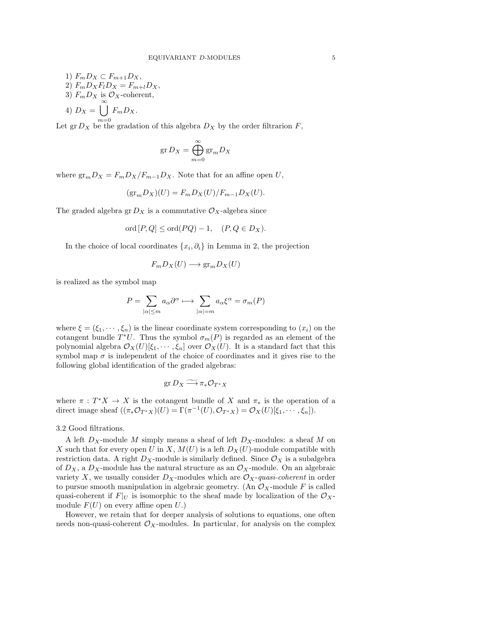1)  $F_mD_X \subset F_{m+1}D_X$ , 2)  $F_m D_X F_l D_X = F_{m+l} D_X$ , 3)  $F_m D_X$  is  $\mathcal{O}_X$ -coherent, 4)  $D_X = \bigcup_{k=1}^{\infty}$  $m=0$  $F_mD_X$ .

Let  $\operatorname{gr} D_X$  be the gradation of this algebra  $D_X$  by the order filtrarion  $F$ ,

$$
\operatorname{gr} D_X=\bigoplus_{m=0}^\infty \operatorname{gr}_m D_X
$$

where  $gr_mD_X = F_mD_X/F_{m-1}D_X$ . Note that for an affine open U,

$$
(\text{gr}_m D_X)(U) = F_m D_X(U) / F_{m-1} D_X(U).
$$

The graded algebra gr  $D_X$  is a commutative  $\mathcal{O}_X$ -algebra since

$$
ord[P,Q] \leq ord(PQ) - 1, (P,Q \in D_X).
$$

In the choice of local coordinates  $\{x_i, \partial_i\}$  in Lemma in 2, the projection

$$
F_m D_X(U) \longrightarrow \text{gr}_m D_X(U)
$$

is realized as the symbol map

$$
P = \sum_{|\alpha| \le m} a_{\alpha} \partial^{\alpha} \longmapsto \sum_{|\alpha| = m} a_{\alpha} \xi^{\alpha} = \sigma_m(P)
$$

where  $\xi = (\xi_1, \dots, \xi_n)$  is the linear coordinate system corresponding to  $(x_i)$  on the cotangent bundle  $T^*U$ . Thus the symbol  $\sigma_m(P)$  is regarded as an element of the polynomial algebra  $\mathcal{O}_X(U)[\xi_1, \cdots, \xi_n]$  over  $\mathcal{O}_X(U)$ . It is a standard fact that this symbol map  $\sigma$  is independent of the choice of coordinates and it gives rise to the following global identification of the graded algebras:

$$
\operatorname{gr} D_X \widetilde{\longrightarrow} \pi_* \mathcal{O}_{T^*X}
$$

where  $\pi : T^*X \to X$  is the cotangent bundle of X and  $\pi_*$  is the operation of a direct image sheaf  $((\pi_* \mathcal{O}_{T^*X})(U) = \Gamma(\pi^{-1}(U), \mathcal{O}_{T^*X}) = \mathcal{O}_X(U)[\xi_1, \cdots, \xi_n]).$ 

### 3.2 Good filtrations.

A left  $D_X$ -module M simply means a sheaf of left  $D_X$ -modules: a sheaf M on X such that for every open U in X,  $M(U)$  is a left  $D_X(U)$ -module compatible with restriction data. A right  $D<sub>X</sub>$ -module is similarly defined. Since  $\mathcal{O}<sub>X</sub>$  is a subalgebra of  $D_X$ , a  $D_X$ -module has the natural structure as an  $\mathcal{O}_X$ -module. On an algebraic variety X, we usually consider  $D_X$ -modules which are  $\mathcal{O}_X$ -quasi-coherent in order to pursue smooth manipulation in algebraic geometry. (An  $\mathcal{O}_X$ -module F is called quasi-coherent if  $F|_U$  is isomorphic to the sheaf made by localization of the  $\mathcal{O}_X$ module  $F(U)$  on every affine open U.)

However, we retain that for deeper analysis of solutions to equations, one often needs non-quasi-coherent  $\mathcal{O}_X$ -modules. In particular, for analysis on the complex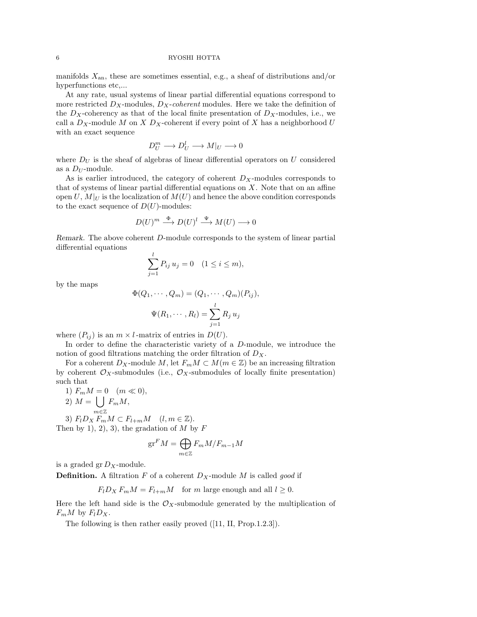manifolds  $X_{an}$ , these are sometimes essential, e.g., a sheaf of distributions and/or hyperfunctions etc....

At any rate, usual systems of linear partial differential equations correspond to more restricted  $D_X$ -modules,  $D_X$ -coherent modules. Here we take the definition of the  $D_X$ -coherency as that of the local finite presentation of  $D_X$ -modules, i.e., we call a  $D_X$ -module M on X  $D_X$ -coherent if every point of X has a neighborhood U with an exact sequence

$$
D_U^m \longrightarrow D_U^l \longrightarrow M|_U \longrightarrow 0
$$

where  $D_U$  is the sheaf of algebras of linear differential operators on U considered as a  $D_U$ -module.

As is earlier introduced, the category of coherent  $D<sub>X</sub>$ -modules corresponds to that of systems of linear partial differential equations on  $X$ . Note that on an affine open  $U, M|_U$  is the localization of  $M(U)$  and hence the above condition corresponds to the exact sequence of  $D(U)$ -modules:

$$
D(U)^m \stackrel{\Phi}{\longrightarrow} D(U)^l \stackrel{\Psi}{\longrightarrow} M(U) \longrightarrow 0
$$

Remark. The above coherent D-module corresponds to the system of linear partial differential equations

$$
\sum_{j=1}^{l} P_{ij} u_j = 0 \quad (1 \le i \le m),
$$

by the maps

$$
\Phi(Q_1, \cdots, Q_m) = (Q_1, \cdots, Q_m)(P_{ij}),
$$

$$
\Psi(R_1, \cdots, R_l) = \sum_{j=1}^l R_j u_j
$$

where  $(P_{ij})$  is an  $m \times l$ -matrix of entries in  $D(U)$ .

In order to define the characteristic variety of a D-module, we introduce the notion of good filtrations matching the order filtration of  $D_X$ .

For a coherent  $D_X$ -module M, let  $F_mM \subset M(m \in \mathbb{Z})$  be an increasing filtration by coherent  $\mathcal{O}_X$ -submodules (i.e.,  $\mathcal{O}_X$ -submodules of locally finite presentation) such that

1)  $F_m M = 0 \quad (m \ll 0),$ 2)  $M = \left( \int F_m M, \right)$ 3)  $F_l D_X F_m M \subset F_{l+m} M \quad (l, m \in \mathbb{Z}).$ Then by 1, 2, 3, the gradation of  $M$  by  $F$ 

$$
\mathrm{gr}^F M = \bigoplus_{m \in \mathbb{Z}} F_m M / F_{m-1} M
$$

is a graded gr  $D_X$ -module.

**Definition.** A filtration F of a coherent  $D<sub>X</sub>$ -module M is called good if

$$
F_l D_X F_m M = F_{l+m} M \quad \text{for } m \text{ large enough and all } l \ge 0.
$$

Here the left hand side is the  $\mathcal{O}_X$ -submodule generated by the multiplication of  $F_mM$  by  $F_lD_X$ .

The following is then rather easily proved  $([11, H, Prop.1.2.3]).$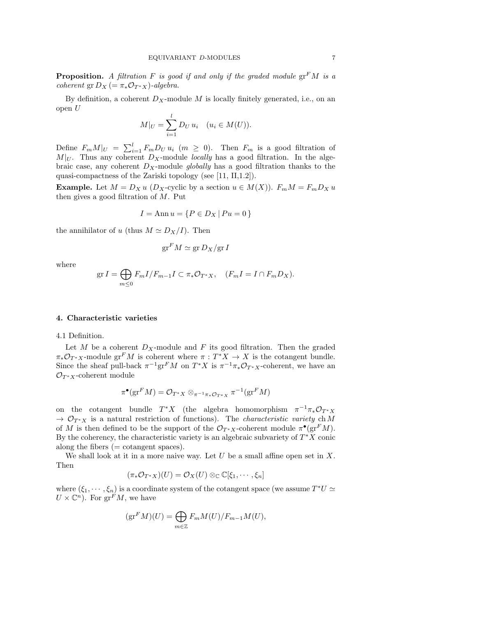**Proposition.** A filtration F is good if and only if the graded module  $gr<sup>F</sup>M$  is a coherent gr  $D_X = \pi_* \mathcal{O}_{T^*X}$ )-algebra.

By definition, a coherent  $D_X$ -module M is locally finitely generated, i.e., on an open U

$$
M|_{U} = \sum_{i=1}^{l} D_{U} u_{i} \quad (u_{i} \in M(U)).
$$

Define  $F_m M|_U = \sum_{i=1}^l F_m D_U u_i \ (m \geq 0)$ . Then  $F_m$  is a good filtration of  $M|_U$ . Thus any coherent  $D_X$ -module *locally* has a good filtration. In the algebraic case, any coherent  $D_X$ -module globally has a good filtration thanks to the quasi-compactness of the Zariski topology (see [11, II,1.2]).

**Example.** Let  $M = D_X u$  ( $D_X$ -cyclic by a section  $u \in M(X)$ ).  $F_m M = F_m D_X u$ then gives a good filtration of  $M$ . Put

$$
I = \text{Ann } u = \{ P \in D_X \mid Pu = 0 \}
$$

the annihilator of u (thus  $M \simeq D_X/I$ ). Then

$$
\mathrm{gr}^F M \simeq \mathrm{gr} \, D_X / \mathrm{gr} \, I
$$

where

$$
\operatorname{gr} I = \bigoplus_{m \leq 0} F_m I / F_{m-1} I \subset \pi_* \mathcal{O}_{T^*X}, \quad (F_m I = I \cap F_m D_X).
$$

#### 4. Characteristic varieties

4.1 Definition.

Let M be a coherent  $D_X$ -module and F its good filtration. Then the graded  $\pi_* \mathcal{O}_{T^*X}$ -module gr<sup>F</sup>M is coherent where  $\pi : T^*X \to X$  is the cotangent bundle. Since the sheaf pull-back  $\pi^{-1}\text{gr}^F M$  on  $T^*X$  is  $\pi^{-1}\pi_*\mathcal{O}_{T^*X}$ -coherent, we have an  $\mathcal{O}_{T^*X}$ -coherent module

$$
\pi^{\bullet}(\mathrm{gr}^F M) = \mathcal{O}_{T^*X} \otimes_{\pi^{-1}\pi_*\mathcal{O}_{T^*X}} \pi^{-1}(\mathrm{gr}^F M)
$$

on the cotangent bundle  $T^*X$  (the algebra homomorphism  $\pi^{-1}\pi_*\mathcal{O}_{T^*X}$  $\rightarrow \mathcal{O}_{T^*X}$  is a natural restriction of functions). The *characteristic variety* ch M of M is then defined to be the support of the  $\mathcal{O}_{T^*X}$ -coherent module  $\pi^{\bullet}(\text{gr}^F M)$ . By the coherency, the characteristic variety is an algebraic subvariety of  $T^*X$  conic along the fibers  $(= constant)$  spaces).

We shall look at it in a more naive way. Let U be a small affine open set in X. Then

$$
(\pi_*\mathcal{O}_{T^*X})(U)=\mathcal{O}_X(U)\otimes_{\mathbb{C}}\mathbb{C}[\xi_1,\cdots,\xi_n]
$$

where  $(\xi_1, \dots, \xi_n)$  is a coordinate system of the cotangent space (we assume  $T^*U \simeq$  $U\times\mathbb{C}^n$ ). For  $\mathrm{gr}^F M$ , we have

$$
(\operatorname{gr}^F M)(U) = \bigoplus_{m \in \mathbb{Z}} F_m M(U) / F_{m-1} M(U),
$$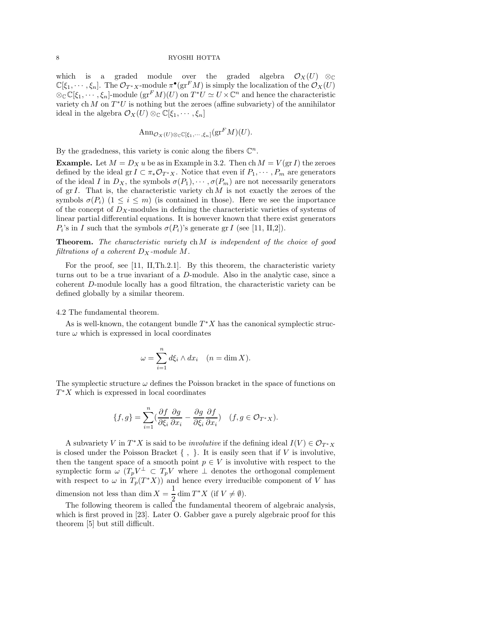which is a graded module over the graded algebra  $\mathcal{O}_X(U)$  ⊗  $\mathbb{C}[\xi_1,\cdots,\xi_n]$ . The  $\mathcal{O}_{T^*X}$ -module  $\pi^{\bullet}(\text{gr}^F M)$  is simply the localization of the  $\mathcal{O}_X(U)$  $\otimes_{\mathbb{C}} \mathbb{C}[\xi_1,\cdots,\xi_n]$ -module  $(\text{gr}^F M)(U)$  on  $T^*U \simeq U \times \mathbb{C}^n$  and hence the characteristic variety ch  $M$  on  $T^*U$  is nothing but the zeroes (affine subvariety) of the annihilator ideal in the algebra  $\mathcal{O}_X(U) \otimes_{\mathbb{C}} \mathbb{C}[\xi_1, \cdots, \xi_n]$ 

$$
\mathrm{Ann}_{\mathcal{O}_X(U)\otimes_{\mathbb{C}}\mathbb{C}[\xi_1,\cdots,\xi_n]}(\mathrm{gr}^F M)(U).
$$

By the gradedness, this variety is conic along the fibers  $\mathbb{C}^n$ .

**Example.** Let  $M = D_X u$  be as in Example in 3.2. Then ch  $M = V(\text{gr } I)$  the zeroes defined by the ideal gr  $I \subset \pi_* \mathcal{O}_{T^*X}$ . Notice that even if  $P_1, \cdots, P_m$  are generators of the ideal I in  $D_X$ , the symbols  $\sigma(P_1), \cdots, \sigma(P_m)$  are not necessarily generators of gr I. That is, the characteristic variety ch  $M$  is not exactly the zeroes of the symbols  $\sigma(P_i)$   $(1 \leq i \leq m)$  (is contained in those). Here we see the importance of the concept of  $D_X$ -modules in defining the characteristic varieties of systems of linear partial differential equations. It is however known that there exist generators  $P_i$ 's in I such that the symbols  $\sigma(P_i)$ 's generate gr I (see [11, II,2]).

**Theorem.** The characteristic variety chM is independent of the choice of good filtrations of a coherent  $D_X$ -module M.

For the proof, see [11, II,Th.2.1]. By this theorem, the characteristic variety turns out to be a true invariant of a D-module. Also in the analytic case, since a coherent D-module locally has a good filtration, the characteristic variety can be defined globally by a similar theorem.

4.2 The fundamental theorem.

As is well-known, the cotangent bundle  $T^*X$  has the canonical symplectic structure  $\omega$  which is expressed in local coordinates

$$
\omega = \sum_{i=1}^{n} d\xi_i \wedge dx_i \quad (n = \dim X).
$$

The symplectic structure  $\omega$  defines the Poisson bracket in the space of functions on  $T^*X$  which is expressed in local coordinates

$$
\{f,g\}=\sum_{i=1}^n(\frac{\partial f}{\partial\xi_i}\frac{\partial g}{\partial x_i}-\frac{\partial g}{\partial\xi_i}\frac{\partial f}{\partial x_i})\quad (f,g\in\mathcal{O}_{T^*X}).
$$

A subvariety V in  $T^*X$  is said to be *involutive* if the defining ideal  $I(V) \in \mathcal{O}_{T^*X}$ is closed under the Poisson Bracket  $\{ , \}$ . It is easily seen that if V is involutive, then the tangent space of a smooth point  $p \in V$  is involutive with respect to the symplectic form  $\omega$   $(T_p V^{\perp} \subset T_p V$  where  $\perp$  denotes the orthogonal complement with respect to  $\omega$  in  $T_p(T^*X)$  and hence every irreducible component of V has dimension not less than dim  $X = \frac{1}{2}$  $\frac{1}{2}$  dim  $T^*X$  (if  $V \neq \emptyset$ ).

The following theorem is called the fundamental theorem of algebraic analysis, which is first proved in [23]. Later O. Gabber gave a purely algebraic proof for this theorem [5] but still difficult.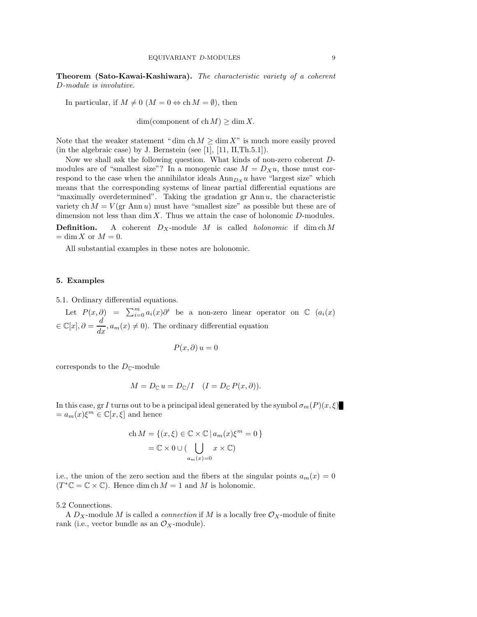Theorem (Sato-Kawai-Kashiwara). The characteristic variety of a coherent D-module is involutive.

In particular, if  $M \neq 0$   $(M = 0 \Leftrightarrow \text{ch } M = \emptyset)$ , then

 $dim(component of ch M) > dim X.$ 

Note that the weaker statement "dim ch  $M \geq \dim X$ " is much more easily proved (in the algebraic case) by J. Bernstein (see [1],  $[11, II, Th.5.1]$ ).

Now we shall ask the following question. What kinds of non-zero coherent Dmodules are of "smallest size"? In a monogenic case  $M = D_X u$ , those must correspond to the case when the annihilator ideals  $\text{Ann}_{D_x} u$  have "largest size" which means that the corresponding systems of linear partial differential equations are "maximally overdetermined". Taking the gradation  $gr$  Ann  $u$ , the characteristic variety ch  $M = V(\text{gr Ann }u)$  must have "smallest size" as possible but these are of dimension not less than  $\dim X$ . Thus we attain the case of holonomic D-modules.

**Definition.** A coherent  $D_X$ -module M is called *holonomic* if dim ch M  $=\dim X$  or  $M=0$ .

All substantial examples in these notes are holonomic.

### 5. Examples

5.1. Ordinary differential equations.

Let  $P(x, \partial) = \sum_{i=0}^{m} a_i(x) \partial^i$  be a non-zero linear operator on  $\mathbb{C}$   $(a_i(x))$  $\in \mathbb{C}[x], \partial = \frac{d}{dx}, a_m(x) \neq 0$ . The ordinary differential equation

$$
P(x, \partial) u = 0
$$

corresponds to the  $D_{\mathbb{C}}$ -module

$$
M = D_{\mathbb{C}} u = D_{\mathbb{C}} / I \quad (I = D_{\mathbb{C}} P(x, \partial)).
$$

In this case, gr I turns out to be a principal ideal generated by the symbol  $\sigma_m(P)(x,\xi)$  $=a_m(x)\xi^m \in \mathbb{C}[x,\xi]$  and hence

ch 
$$
M = \{(x, \xi) \in \mathbb{C} \times \mathbb{C} \mid a_m(x)\xi^m = 0\}
$$
  
=  $\mathbb{C} \times 0 \cup (\bigcup_{a_m(x)=0} x \times \mathbb{C})$ 

i.e., the union of the zero section and the fibers at the singular points  $a_m(x) = 0$  $(T^*\mathbb{C} = \mathbb{C} \times \mathbb{C})$ . Hence dim ch  $M = 1$  and M is holonomic.

5.2 Connections.

A  $D_X$ -module M is called a *connection* if M is a locally free  $\mathcal{O}_X$ -module of finite rank (i.e., vector bundle as an  $\mathcal{O}_X$ -module).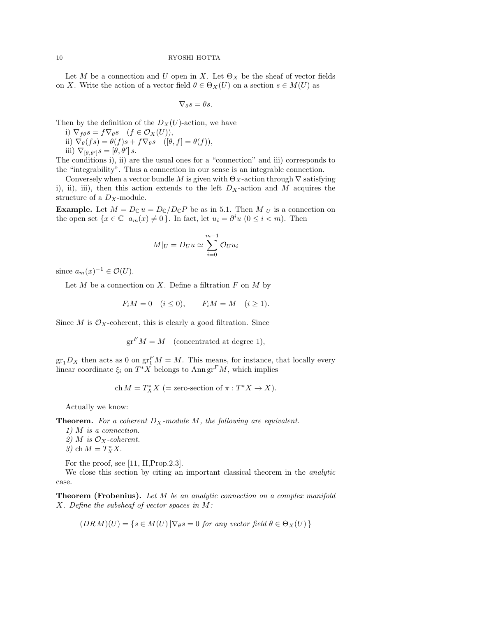Let M be a connection and U open in X. Let  $\Theta_X$  be the sheaf of vector fields on X. Write the action of a vector field  $\theta \in \Theta_X(U)$  on a section  $s \in M(U)$  as

$$
\nabla_{\theta} s = \theta s.
$$

Then by the definition of the  $D_X(U)$ -action, we have

- i)  $\nabla_{f\theta}s = f\nabla_{\theta}s \quad (f \in \mathcal{O}_X(U)),$
- ii)  $\nabla_{\theta}(fs) = \theta(f)s + f \nabla_{\theta}s$  ([ $\theta, f$ ] =  $\theta(f)$ ),

iii)  $\nabla_{[\theta,\theta']}s = [\theta,\theta'] s.$ 

The conditions i), ii) are the usual ones for a "connection" and iii) corresponds to the "integrability". Thus a connection in our sense is an integrable connection.

Conversely when a vector bundle M is given with  $\Theta_X$ -action through  $\nabla$  satisfying i), ii), iii), then this action extends to the left  $D_X$ -action and M acquires the structure of a  $D_X$ -module.

**Example.** Let  $M = D_{\mathbb{C}} u = D_{\mathbb{C}} / D_{\mathbb{C}} P$  be as in 5.1. Then  $M|_U$  is a connection on the open set  $\{x \in \mathbb{C} \mid a_m(x) \neq 0\}$ . In fact, let  $u_i = \partial^i u \ (0 \leq i < m)$ . Then

$$
M|_U = D_U u \simeq \sum_{i=0}^{m-1} \mathcal{O}_U u_i
$$

since  $a_m(x)^{-1} \in \mathcal{O}(U)$ .

Let  $M$  be a connection on  $X$ . Define a filtration  $F$  on  $M$  by

$$
F_i M = 0 \quad (i \le 0), \qquad F_i M = M \quad (i \ge 1).
$$

Since M is  $\mathcal{O}_X$ -coherent, this is clearly a good filtration. Since

$$
\operatorname{gr}^F M = M \pmod{\operatorname{concentrated at degree 1}},
$$

 $\operatorname{gr}_1D_X$  then acts as 0 on  $\operatorname{gr}^F_1M=M$ . This means, for instance, that locally every linear coordinate  $\xi_i$  on  $T^*X$  belongs to Ann  $gr^FM$ , which implies

$$
\mathrm{ch}\, M=T^*_XX\ (= \hbox{zero-section of }\pi: T^*X\to X).
$$

Actually we know:

**Theorem.** For a coherent  $D_X$ -module M, the following are equivalent.

1) M is a connection. 2) M is  $\mathcal{O}_X$ -coherent. 3) ch  $M = T_X^* X$ .

For the proof, see [11, II,Prop.2.3].

We close this section by citing an important classical theorem in the *analytic* case.

**Theorem (Frobenius).** Let M be an analytic connection on a complex manifold X. Define the subsheaf of vector spaces in M:

$$
(DR\ M)(U) = \{ s \in M(U) | \nabla_{\theta} s = 0 \text{ for any vector field } \theta \in \Theta_X(U) \}
$$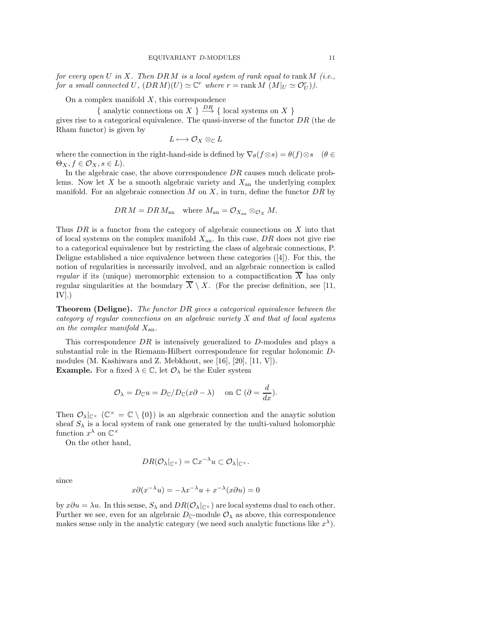for every open  $U$  in  $X$ . Then  $DRM$  is a local system of rank equal to rank  $M$  (i.e., for a small connected U,  $(DRM)(U) \simeq \mathbb{C}^r$  where  $r = \text{rank } M(M|_U \simeq \mathcal{O}_U^r)$ .

On a complex manifold  $X$ , this correspondence

{ analytic connections on X }  $\stackrel{DR}{\longrightarrow}$  { local systems on X }

gives rise to a categorical equivalence. The quasi-inverse of the functor  $DR$  (the de Rham functor) is given by

$$
L\longmapsto \mathcal{O}_X\otimes_{\mathbb{C}} L
$$

where the connection in the right-hand-side is defined by  $\nabla_{\theta}(f \otimes s) = \theta(f) \otimes s$  ( $\theta \in$  $\Theta_X, f \in \mathcal{O}_X, s \in L$ ).

In the algebraic case, the above correspondence  $DR$  causes much delicate problems. Now let  $X$  be a smooth algebraic variety and  $X_{\text{an}}$  the underlying complex manifold. For an algebraic connection  $M$  on  $X$ , in turn, define the functor  $DR$  by

$$
DR\,M = DR\,M_{\rm an} \quad \text{where } M_{\rm an} = \mathcal{O}_{X_{\rm an}} \otimes_{\mathcal{O}_X} M.
$$

Thus  $DR$  is a functor from the category of algebraic connections on  $X$  into that of local systems on the complex manifold  $X_{an}$ . In this case, DR does not give rise to a categorical equivalence but by restricting the class of algebraic connections, P. Deligne established a nice equivalence between these categories ([4]). For this, the notion of regularities is necessarily involved, and an algebraic connection is called regular if its (unique) meromorphic extension to a compactification  $\overline{X}$  has only regular singularities at the boundary  $\overline{X} \setminus X$ . (For the precise definition, see [11,  $IV$ ].)

Theorem (Deligne). The functor DR gives a categorical equivalence between the category of regular connections on an algebraic variety X and that of local systems on the complex manifold  $X_{an}$ .

This correspondence  $DR$  is intensively generalized to  $D$ -modules and plays a substantial role in the Riemann-Hilbert correspondence for regular holonomic Dmodules (M. Kashiwara and Z. Mebkhout, see [16], [20], [11, V]). **Example.** For a fixed  $\lambda \in \mathbb{C}$ , let  $\mathcal{O}_{\lambda}$  be the Euler system

$$
\mathcal{O}_{\lambda} = D_{\mathbb{C}} u = D_{\mathbb{C}} / D_{\mathbb{C}} (x \partial - \lambda) \quad \text{on } \mathbb{C} \ (\partial = \frac{d}{dx}).
$$

Then  $\mathcal{O}_{\lambda}|_{\mathbb{C}^{\times}}$  ( $\mathbb{C}^{\times} = \mathbb{C} \setminus \{0\}$ ) is an algebraic connection and the anaytic solution sheaf  $S_\lambda$  is a local system of rank one generated by the multi-valued holomorphic function  $x^{\lambda}$  on  $\mathbb{C}^{\times}$ 

On the other hand,

$$
DR(\mathcal{O}_{\lambda}|_{\mathbb{C}^{\times}}) = \mathbb{C}x^{-\lambda}u \subset \mathcal{O}_{\lambda}|_{\mathbb{C}^{\times}}.
$$

since

$$
x\partial(x^{-\lambda}u) = -\lambda x^{-\lambda}u + x^{-\lambda}(x\partial u) = 0
$$

by  $x\partial u = \lambda u$ . In this sense,  $S_\lambda$  and  $DR(O_\lambda|_{\mathbb{C}^\times})$  are local systems dual to each other. Further we see, even for an algebraic  $D_{\mathbb{C}}$ -module  $\mathcal{O}_{\lambda}$  as above, this correspondence makes sense only in the analytic category (we need such analytic functions like  $x^{\lambda}$ ).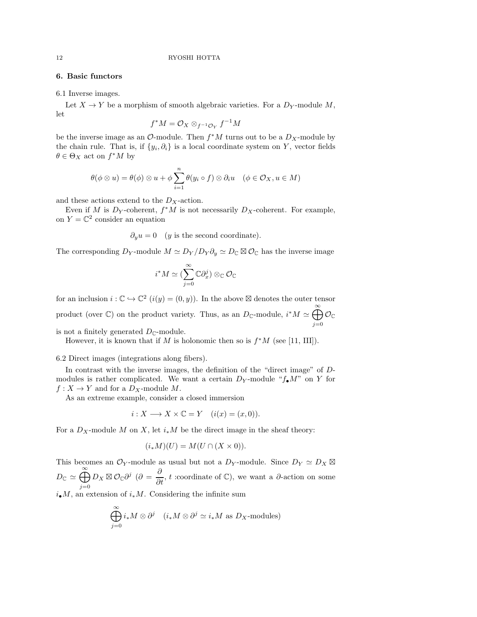# 6. Basic functors

6.1 Inverse images.

Let  $X \to Y$  be a morphism of smooth algebraic varieties. For a  $D_Y$ -module M, let

$$
f^*M=\mathcal{O}_X\otimes_{f^{-1}\mathcal{O}_Y}f^{-1}M
$$

be the inverse image as an  $\mathcal{O}\text{-module}$ . Then  $f^*M$  turns out to be a  $D_X\text{-module}$  by the chain rule. That is, if  $\{y_i, \partial_i\}$  is a local coordinate system on Y, vector fields  $\theta \in \Theta_X$  act on  $f^*M$  by

$$
\theta(\phi \otimes u) = \theta(\phi) \otimes u + \phi \sum_{i=1}^{n} \theta(y_i \circ f) \otimes \partial_i u \quad (\phi \in \mathcal{O}_X, u \in M)
$$

and these actions extend to the  $D_X$ -action.

f

Even if M is  $D_Y$ -coherent,  $f^*M$  is not necessarily  $D_X$ -coherent. For example, on  $Y = \mathbb{C}^2$  consider an equation

 $\partial_y u = 0$  (y is the second coordinate).

The corresponding  $D_Y$ -module  $M \simeq D_Y/D_Y \partial_y \simeq D_{\mathbb{C}} \boxtimes \mathcal{O}_{\mathbb{C}}$  has the inverse image

$$
i^*M\simeq (\sum_{j=0}^\infty \mathbb{C}\partial_x^j)\otimes_{\mathbb{C}}\mathcal{O}_{\mathbb{C}}
$$

for an inclusion  $i: \mathbb{C} \to \mathbb{C}^2$   $(i(y) = (0, y))$ . In the above  $\mathbb{Z}$  denotes the outer tensor product (over  $\mathbb{C}$ ) on the product variety. Thus, as an  $D_{\mathbb{C}}$ -module,  $i^*M \simeq \bigoplus_{k=1}^{\infty} \mathcal{O}_{\mathbb{C}}$  $j=0$ 

is not a finitely generated  $D_{\mathbb{C}}$ -module.

However, it is known that if M is holonomic then so is  $f^*M$  (see [11, III]).

6.2 Direct images (integrations along fibers).

In contrast with the inverse images, the definition of the "direct image" of Dmodules is rather complicated. We want a certain  $D_Y$ -module " $f_{\bullet}M$ " on Y for  $f: X \to Y$  and for a  $D_X$ -module M.

As an extreme example, consider a closed immersion

$$
i: X \longrightarrow X \times \mathbb{C} = Y \quad (i(x) = (x, 0)).
$$

For a  $D_X$ -module M on X, let  $i_*M$  be the direct image in the sheaf theory:

$$
(i_*M)(U) = M(U \cap (X \times 0)).
$$

This becomes an  $\mathcal{O}_Y$ -module as usual but not a  $D_Y$ -module. Since  $D_Y \simeq D_X \boxtimes$  $D_{\mathbb{C}} \simeq \bigoplus_{n=1}^{\infty}$  $j=0$  $D_X \boxtimes \mathcal{O}_\mathbb{C} \partial^j$  ( $\partial = \frac{\partial}{\partial t}$ , t :coordinate of  $\mathbb{C}$ ), we want a  $\partial$ -action on some  $i_{\bullet}M$ , an extension of  $i_{*}M$ . Considering the infinite sum

$$
\bigoplus_{j=0}^{\infty} i_* M \otimes \partial^j \quad (i_* M \otimes \partial^j \simeq i_* M \text{ as } D_X\text{-modules})
$$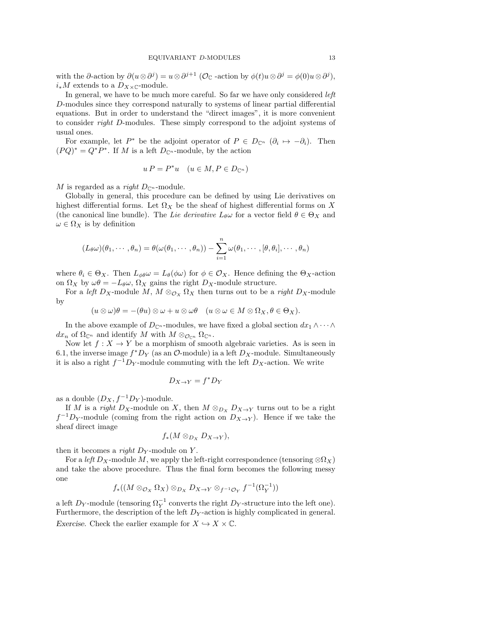with the ∂-action by  $\partial(u\otimes\partial^j) = u\otimes\partial^{j+1}$  ( $\mathcal{O}_{\mathbb{C}}$  -action by  $\phi(t)u\otimes\partial^j = \phi(0)u\otimes\partial^j$ ),  $i_*M$  extends to a  $D_{X\times \mathbb C}$ -module.

In general, we have to be much more careful. So far we have only considered *left* D-modules since they correspond naturally to systems of linear partial differential equations. But in order to understand the "direct images", it is more convenient to consider right D-modules. These simply correspond to the adjoint systems of usual ones.

For example, let  $P^*$  be the adjoint operator of  $P \in D_{\mathbb{C}^n}$   $(\partial_i \mapsto -\partial_i)$ . Then  $(PQ)^* = Q^*P^*$ . If M is a left  $D_{\mathbb{C}^n}$ -module, by the action

$$
u P = P^* u \quad (u \in M, P \in D_{\mathbb{C}^n})
$$

M is regarded as a right  $D_{\mathbb{C}^n}$ -module.

Globally in general, this procedure can be defined by using Lie derivatives on highest differential forms. Let  $\Omega_X$  be the sheaf of highest differential forms on X (the canonical line bundle). The Lie derivative  $L_{\theta}\omega$  for a vector field  $\theta \in \Theta_X$  and  $\omega \in \Omega_X$  is by definition

$$
(L_{\theta}\omega)(\theta_1,\cdots,\theta_n)=\theta(\omega(\theta_1,\cdots,\theta_n))-\sum_{i=1}^n\omega(\theta_1,\cdots,[\theta,\theta_i],\cdots,\theta_n)
$$

where  $\theta_i \in \Theta_X$ . Then  $L_{\phi\theta}\omega = L_{\theta}(\phi\omega)$  for  $\phi \in \mathcal{O}_X$ . Hence defining the  $\Theta_X$ -action on  $\Omega_X$  by  $\omega\theta = -L_\theta\omega$ ,  $\Omega_X$  gains the right  $D_X$ -module structure.

For a left  $D_X$ -module M,  $M \otimes_{\mathcal{O}_X} \Omega_X$  then turns out to be a right  $D_X$ -module by

$$
(u\otimes\omega)\theta=-(\theta u)\otimes\omega+u\otimes\omega\theta\quad (u\otimes\omega\in M\otimes\Omega_X,\theta\in\Theta_X).
$$

In the above example of  $D_{\mathbb{C}^n}$ -modules, we have fixed a global section  $dx_1 \wedge \cdots \wedge dx_n$  $dx_n$  of  $\Omega_{\mathbb{C}^n}$  and identify M with  $M \otimes_{\mathcal{O}_{\mathbb{C}^n}} \Omega_{\mathbb{C}^n}$ .

Now let  $f: X \to Y$  be a morphism of smooth algebraic varieties. As is seen in 6.1, the inverse image  $f^*D_Y$  (as an  $\mathcal{O}\text{-module}$ ) ia a left  $D_X\text{-module}$ . Simultaneously it is also a right  $f^{-1}D_Y$ -module commuting with the left  $D_X$ -action. We write

$$
D_{X\to Y} = f^* D_Y
$$

as a double  $(D_X, f^{-1}D_Y)$ -module.

If M is a right D<sub>X</sub>-module on X, then  $M \otimes_{D_X} D_{X\to Y}$  turns out to be a right  $f^{-1}D_Y$ -module (coming from the right action on  $D_{X\to Y}$ ). Hence if we take the sheaf direct image

$$
f_*(M\otimes_{D_X}D_{X\to Y}),
$$

then it becomes a *right D<sub>Y</sub>*-module on Y.

For a left  $D_X$ -module M, we apply the left-right correspondence (tensoring  $\otimes \Omega_X$ ) and take the above procedure. Thus the final form becomes the following messy one

$$
f_*((M \otimes_{\mathcal{O}_X} \Omega_X) \otimes_{D_X} D_{X \to Y} \otimes_{f^{-1}\mathcal{O}_Y} f^{-1}(\Omega_Y^{-1}))
$$

a left  $D_Y$ -module (tensoring  $\Omega_Y^{-1}$  converts the right  $D_Y$ -structure into the left one). Furthermore, the description of the left  $D<sub>Y</sub>$ -action is highly complicated in general. Exercise. Check the earlier example for  $X \hookrightarrow X \times \mathbb{C}$ .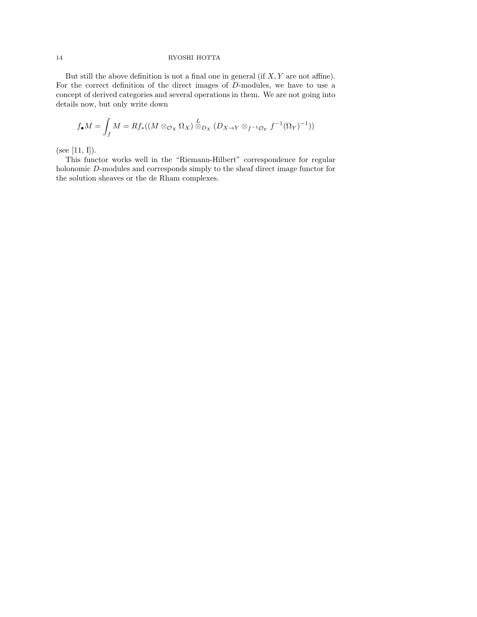But still the above definition is not a final one in general (if  $X, Y$  are not affine). For the correct definition of the direct images of D-modules, we have to use a concept of derived categories and several operations in them. We are not going into details now, but only write down

$$
f_{\bullet}M = \int_{f} M = Rf_{*}((M \otimes_{\mathcal{O}_{X}} \Omega_{X}) \overset{L}{\otimes}_{D_{X}} (D_{X \to Y} \otimes_{f^{-1}\mathcal{O}_{Y}} f^{-1}(\Omega_{Y})^{-1}))
$$

(see [11, I]).

This functor works well in the "Riemann-Hilbert" correspondence for regular holonomic D-modules and corresponds simply to the sheaf direct image functor for the solution sheaves or the de Rham complexes.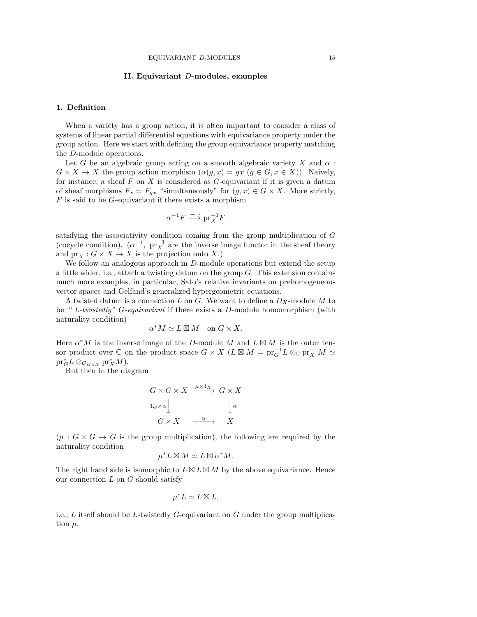# II. Equivariant D-modules, examples

# 1. Definition

When a variety has a group action, it is often important to consider a class of systems of linear partial differential equations with equivariance property under the group action. Here we start with defining the group equivariance property matching the D-module operations.

Let G be an algebraic group acting on a smooth algebraic variety X and  $\alpha$ :  $G \times X \to X$  the group action morphism  $(\alpha(q, x) = qx \ (q \in G, x \in X))$ . Naively, for instance, a sheaf  $F$  on  $X$  is considered as  $G$ -equivariant if it is given a datum of sheaf morphisms  $F_x \simeq F_{gx}$  "simultaneously" for  $(g, x) \in G \times X$ . More strictly,  $F$  is said to be  $G$ -equivariant if there exists a morphism

$$
\alpha^{-1}F \longrightarrow \text{pr}_X^{-1}F
$$

satisfying the associativity condition coming from the group multiplication of G (cocycle condition).  $(\alpha^{-1}, \text{pr}_X^{-1})$  are the inverse image functor in the sheaf theory and  $pr_X : G \times X \to X$  is the projection onto X.)

We follow an analogous approach in D-module operations but extend the setup a little wider, i.e., attach a twisting datum on the group G. This extension contains much more examples, in particular, Sato's relative invariants on prehomogeneous vector spaces and Gelfand's generalized hypergeometric equations.

A twisted datum is a connection L on G. We want to define a  $D_X$ -module M to be " L-twistedly" G-equivariant if there exists a D-module homomorphism (with naturality condition)

$$
\alpha^*M \simeq L \boxtimes M \quad \text{on $G \times X$}.
$$

Here  $\alpha^* M$  is the inverse image of the D-module M and  $L \boxtimes M$  is the outer tensor product over  $\mathbb C$  on the product space  $G \times X$   $(L \boxtimes M = \text{pr}_G^{-1}L \otimes_{\mathbb C} \text{pr}_X^{-1}M \simeq$  $\mathrm{pr}_{G}^* L \otimes_{\mathcal{O}_{G \times X}} \mathrm{pr}_X^* M$ ).

But then in the diagram

$$
G \times G \times X \xrightarrow{\mu \times 1_X} G \times X
$$
  

$$
\downarrow^{\alpha} \qquad \qquad \downarrow^{\alpha}
$$
  

$$
G \times X \xrightarrow{\alpha} X
$$

 $(\mu : G \times G \to G$  is the group multiplication), the following are required by the naturality condition

$$
\mu^* L \boxtimes M \simeq L \boxtimes \alpha^* M.
$$

The right hand side is isomorphic to  $L \boxtimes L \boxtimes M$  by the above equivariance. Hence our connection  $L$  on  $G$  should satisfy

$$
\mu^* L \simeq L \boxtimes L,
$$

i.e.,  $L$  itself should be  $L$ -twistedly  $G$ -equivariant on  $G$  under the group multiplication  $\mu$ .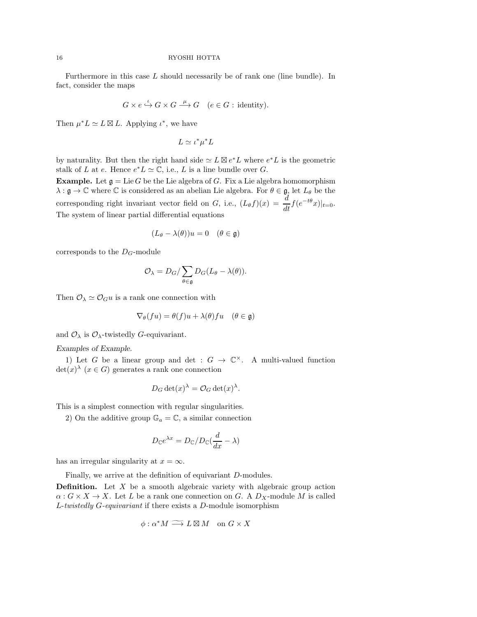Furthermore in this case L should necessarily be of rank one (line bundle). In fact, consider the maps

$$
G \times e \xrightarrow{\iota} G \times G \xrightarrow{\mu} G \quad (e \in G : \text{identity}).
$$

Then  $\mu^* L \simeq L \boxtimes L$ . Applying  $\iota^*$ , we have

$$
L \simeq \iota^* \mu^* L
$$

by naturality. But then the right hand side  $\simeq L \boxtimes e^*L$  where  $e^*L$  is the geometric stalk of L at e. Hence  $e^*L \simeq \mathbb{C}$ , i.e., L is a line bundle over G.

**Example.** Let  $\mathfrak{g} = \text{Lie } G$  be the Lie algebra of G. Fix a Lie algebra homomorphism  $\lambda : \mathfrak{g} \to \mathbb{C}$  where  $\mathbb{C}$  is considered as an abelian Lie algebra. For  $\theta \in \mathfrak{g}$ , let  $L_{\theta}$  be the corresponding right invariant vector field on G, i.e.,  $(L_{\theta} f)(x) = \frac{d}{dt} f(e^{-t\theta}x)|_{t=0}$ . The system of linear partial differential equations

$$
(L_{\theta} - \lambda(\theta))u = 0 \quad (\theta \in \mathfrak{g})
$$

corresponds to the  $D_G$ -module

$$
\mathcal{O}_{\lambda} = D_G / \sum_{\theta \in \mathfrak{g}} D_G(L_{\theta} - \lambda(\theta)).
$$

Then  $\mathcal{O}_{\lambda} \simeq \mathcal{O}_G u$  is a rank one connection with

$$
\nabla_{\theta}(fu) = \theta(f)u + \lambda(\theta)fu \quad (\theta \in \mathfrak{g})
$$

and  $\mathcal{O}_{\lambda}$  is  $\mathcal{O}_{\lambda}$ -twistedly G-equivariant.

Examples of Example.

1) Let G be a linear group and det :  $G \to \mathbb{C}^{\times}$ . A multi-valued function  $\det(x)$ <sup> $\lambda$ </sup> ( $x \in G$ ) generates a rank one connection

$$
D_G \det(x)^{\lambda} = \mathcal{O}_G \det(x)^{\lambda}.
$$

This is a simplest connection with regular singularities.

2) On the additive group  $\mathbb{G}_a = \mathbb{C}$ , a similar connection

$$
D_{\mathbb{C}}e^{\lambda x} = D_{\mathbb{C}}/D_{\mathbb{C}}(\frac{d}{dx} - \lambda)
$$

has an irregular singularity at  $x = \infty$ .

Finally, we arrive at the definition of equivariant D-modules.

**Definition.** Let  $X$  be a smooth algebraic variety with algebraic group action  $\alpha: G \times X \to X$ . Let L be a rank one connection on G. A  $D_X$ -module M is called L-twistedly G-equivariant if there exists a D-module isomorphism

$$
\phi : \alpha^* M \longrightarrow L \boxtimes M \quad \text{on } G \times X
$$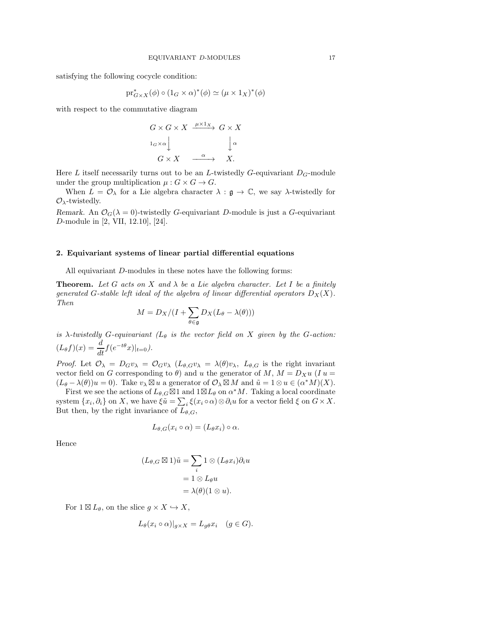satisfying the following cocycle condition:

$$
\mathrm{pr}_{G\times X}^{*}(\phi)\circ (1_{G}\times \alpha)^{*}(\phi)\simeq (\mu\times 1_{X})^{*}(\phi)
$$

with respect to the commutative diagram

$$
G \times G \times X \xrightarrow{\mu \times 1_X} G \times X
$$
  

$$
\downarrow^{\alpha}
$$
  

$$
G \times X \xrightarrow{\alpha} X.
$$

Here L itself necessarily turns out to be an L-twistedly G-equivariant  $D_G$ -module under the group multiplication  $\mu: G \times G \to G$ .

When  $L = \mathcal{O}_{\lambda}$  for a Lie algebra character  $\lambda : \mathfrak{g} \to \mathbb{C}$ , we say  $\lambda$ -twistedly for  $\mathcal{O}_{\lambda}$ -twistedly.

Remark. An  $\mathcal{O}_G(\lambda = 0)$ -twistedly G-equivariant D-module is just a G-equivariant D-module in [2, VII, 12.10], [24].

### 2. Equivariant systems of linear partial differential equations

All equivariant D-modules in these notes have the following forms:

**Theorem.** Let G acts on X and  $\lambda$  be a Lie algebra character. Let I be a finitely generated G-stable left ideal of the algebra of linear differential operators  $D_X(X)$ . Then

$$
M = D_X/(I + \sum_{\theta \in \mathfrak{g}} D_X(L_\theta - \lambda(\theta)))
$$

is  $\lambda$ -twistedly G-equivariant ( $L_{\theta}$  is the vector field on X given by the G-action:  $(L_\theta f)(x) = \frac{d}{dt} f(e^{-t\theta}x)|_{t=0}).$ 

Proof. Let  $\mathcal{O}_{\lambda} = D_G v_{\lambda} = \mathcal{O}_G v_{\lambda}$   $(L_{\theta,G} v_{\lambda} = \lambda(\theta) v_{\lambda}, L_{\theta,G}$  is the right invariant vector field on G corresponding to  $\theta$ ) and u the generator of M,  $M = D_X u$  (I u =  $(L_{\theta} - \lambda(\theta))u = 0$ . Take  $v_{\lambda} \boxtimes u$  a generator of  $\mathcal{O}_{\lambda} \boxtimes M$  and  $\tilde{u} = 1 \otimes u \in (\alpha^*M)(X)$ .

First we see the actions of  $L_{\theta,G} \boxtimes 1$  and  $1 \boxtimes L_{\theta}$  on  $\alpha^* M$ . Taking a local coordinate system  $\{x_i, \partial_i\}$  on X, we have  $\xi \tilde{u} = \sum_i \xi(x_i \circ \alpha) \otimes \partial_i u$  for a vector field  $\xi$  on  $G \times X$ . But then, by the right invariance of  $L_{\theta,G}$ ,

$$
L_{\theta,G}(x_i \circ \alpha) = (L_{\theta}x_i) \circ \alpha.
$$

Hence

$$
(L_{\theta,G} \boxtimes 1)\tilde{u} = \sum_{i} 1 \otimes (L_{\theta}x_i)\partial_i u
$$

$$
= 1 \otimes L_{\theta}u
$$

$$
= \lambda(\theta)(1 \otimes u).
$$

For  $1 \boxtimes L_{\theta}$ , on the slice  $g \times X \hookrightarrow X$ ,

$$
L_{\theta}(x_i \circ \alpha)|_{g \times X} = L_{g\theta} x_i \quad (g \in G).
$$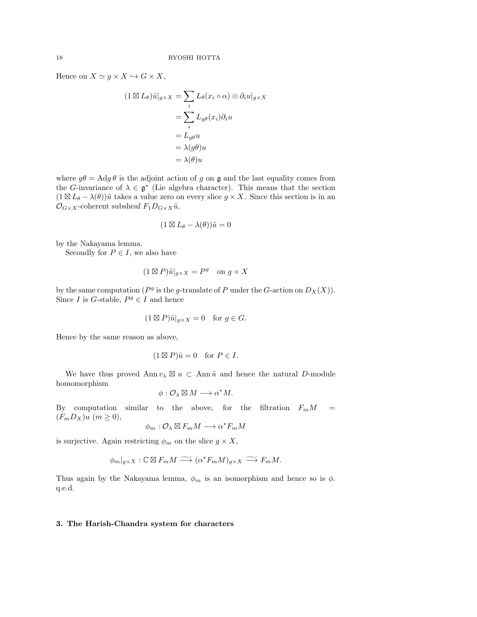Hence on  $X \simeq g \times X \hookrightarrow G \times X$ ,

$$
(1 \boxtimes L_{\theta})\tilde{u}|_{g \times X} = \sum_{i} L_{\theta}(x_{i} \circ \alpha) \otimes \partial_{i}u|_{g \times X}
$$

$$
= \sum_{i} L_{g\theta}(x_{i})\partial_{i}u
$$

$$
= L_{g\theta}u
$$

$$
= \lambda(g\theta)u
$$

$$
= \lambda(\theta)u
$$

where  $g\theta = \text{Ad}g\theta$  is the adjoint action of g on g and the last equality comes from the G-invariance of  $\lambda \in \mathfrak{g}^*$  (Lie algebra character). This means that the section  $(1 \boxtimes L_{\theta} - \lambda(\theta))\tilde{u}$  takes a value zero on every slice  $g \times X$ . Since this section is in an  $\mathcal{O}_{G\times X}$ -coherent subsheaf  $F_1D_{G\times X}\tilde{u}$ ,

$$
(1 \boxtimes L_{\theta} - \lambda(\theta))\tilde{u} = 0
$$

by the Nakayama lemma.

Secondly for  $P \in I$ , we also have

$$
(1 \boxtimes P)\tilde{u}|_{g \times X} = P^g \text{ on } g \times X
$$

by the same computation ( $P<sup>g</sup>$  is the g-translate of P under the G-action on  $D_X(X)$ ). Since *I* is *G*-stable,  $P<sup>g</sup> \in I$  and hence

$$
(1 \boxtimes P)\tilde{u}|_{g \times X} = 0 \quad \text{for } g \in G.
$$

Hence by the same reason as above,

$$
(1 \boxtimes P)\tilde{u} = 0 \quad \text{for } P \in I.
$$

We have thus proved Ann  $v_{\lambda} \boxtimes u \subset \Lambda$ nn  $\tilde{u}$  and hence the natural D-module homomorphism

$$
\phi: \mathcal{O}_\lambda \boxtimes M \longrightarrow \alpha^*M.
$$

By computation similar to the above, for the filtration  $F_m M$  =  $(F_mD_X)u$   $(m \geq 0)$ ,

$$
\phi_m : \mathcal{O}_\lambda \boxtimes F_mM \longrightarrow \alpha^* F_mM
$$

is surjective. Again restricting  $\phi_m$  on the slice  $g \times X$ ,

$$
\phi_m|_{g\times X} : \mathbb{C} \boxtimes F_m M \longrightarrow (\alpha^* F_m M)_{g\times X} \longrightarrow F_m M.
$$

Thus again by the Nakayama lemma,  $\phi_m$  is an isomorphism and hence so is  $\phi$ . q.e.d.

### 3. The Harish-Chandra system for characters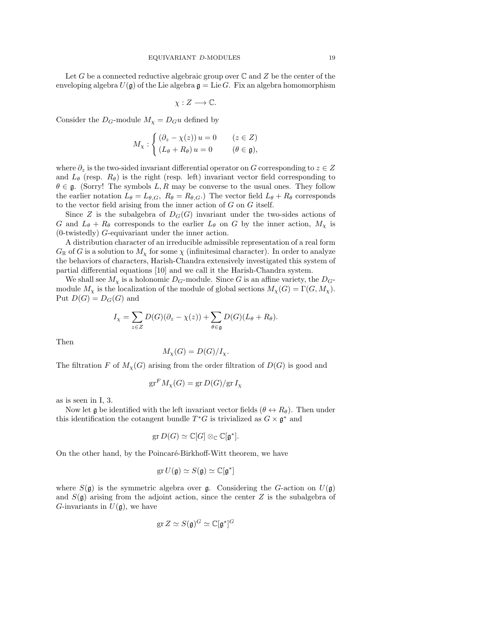Let G be a connected reductive algebraic group over  $\mathbb C$  and  $Z$  be the center of the enveloping algebra  $U(\mathfrak{g})$  of the Lie algebra  $\mathfrak{g} = \text{Lie } G$ . Fix an algebra homomorphism

$$
\chi: Z \longrightarrow \mathbb{C}.
$$

Consider the  $D_G$ -module  $M_\chi = D_G u$  defined by

$$
M_{\chi} : \begin{cases} (\partial_z - \chi(z)) u = 0 & (z \in Z) \\ (L_{\theta} + R_{\theta}) u = 0 & (\theta \in \mathfrak{g}), \end{cases}
$$

where  $\partial_z$  is the two-sided invariant differential operator on G corresponding to  $z \in Z$ and  $L_{\theta}$  (resp.  $R_{\theta}$ ) is the right (resp. left) invariant vector field corresponding to  $\theta \in \mathfrak{g}$ . (Sorry! The symbols L, R may be converse to the usual ones. They follow the earlier notation  $L_{\theta} = L_{\theta,G}, R_{\theta} = R_{\theta,G}$ . The vector field  $L_{\theta} + R_{\theta}$  corresponds to the vector field arising from the inner action of  $G$  on  $G$  itself.

Since Z is the subalgebra of  $D_G(G)$  invariant under the two-sides actions of G and  $L_{\theta}$  +  $R_{\theta}$  corresponds to the earlier  $L_{\theta}$  on G by the inner action,  $M_{\chi}$  is (0-twistedly) G-equivariant under the inner action.

A distribution character of an irreducible admissible representation of a real form  $G_{\mathbb{R}}$  of G is a solution to  $M_{\chi}$  for some  $\chi$  (infinitesimal character). In order to analyze the behaviors of characters, Harish-Chandra extensively investigated this system of partial differential equations [10] and we call it the Harish-Chandra system.

We shall see  $M_{\chi}$  is a holonomic  $D_G$ -module. Since G is an affine variety, the  $D_G$ module  $M_{\chi}$  is the localization of the module of global sections  $M_{\chi}(G) = \Gamma(G, M_{\chi})$ . Put  $D(G) = D_G(G)$  and

$$
I_{\chi} = \sum_{z \in Z} D(G)(\partial_z - \chi(z)) + \sum_{\theta \in \mathfrak{g}} D(G)(L_{\theta} + R_{\theta}).
$$

Then

$$
M_{\chi}(G) = D(G)/I_{\chi}.
$$

The filtration F of  $M_{\chi}(G)$  arising from the order filtration of  $D(G)$  is good and

$$
\operatorname{gr}^F M_\chi(G) = \operatorname{gr} D(G)/\operatorname{gr} I_\chi
$$

as is seen in I, 3.

Now let g be identified with the left invariant vector fields ( $\theta \leftrightarrow R_{\theta}$ ). Then under this identification the cotangent bundle  $T^*G$  is trivialized as  $G \times \mathfrak{g}^*$  and

$$
\operatorname{gr} D(G) \simeq \mathbb{C}[G] \otimes_{\mathbb{C}} \mathbb{C}[\mathfrak{g}^*].
$$

On the other hand, by the Poincaré-Birkhoff-Witt theorem, we have

$$
\operatorname{gr} U(\mathfrak{g}) \simeq S(\mathfrak{g}) \simeq \mathbb{C}[\mathfrak{g}^*]
$$

where  $S(\mathfrak{g})$  is the symmetric algebra over  $\mathfrak{g}$ . Considering the G-action on  $U(\mathfrak{g})$ and  $S(\mathfrak{g})$  arising from the adjoint action, since the center Z is the subalgebra of G-invariants in  $U(\mathfrak{g})$ , we have

$$
\operatorname{gr} Z \simeq S(\mathfrak{g})^G \simeq \mathbb{C}[\mathfrak{g}^*]^G
$$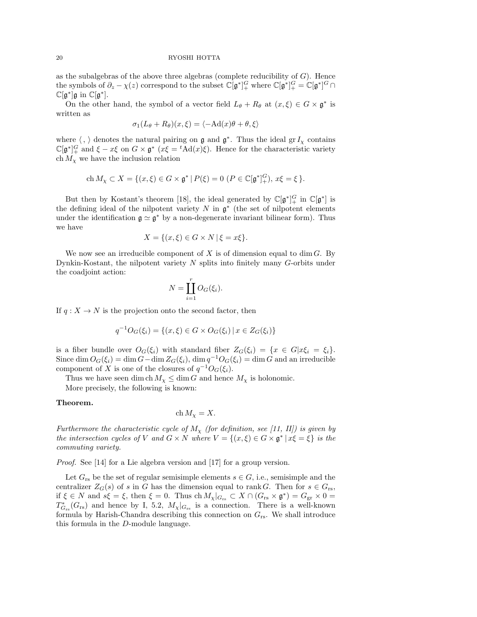as the subalgebras of the above three algebras (complete reducibility of  $G$ ). Hence the symbols of  $\partial_z - \chi(z)$  correspond to the subset  $\mathbb{C}[\mathfrak{g}^*]_+^G$  where  $\mathbb{C}[\mathfrak{g}^*]_+^G = \mathbb{C}[\mathfrak{g}^*]^G \cap$  $\mathbb{C}[\mathfrak{g}^*] \mathfrak{g}$  in  $\mathbb{C}[\mathfrak{g}^*]$ .

On the other hand, the symbol of a vector field  $L_{\theta} + R_{\theta}$  at  $(x, \xi) \in G \times \mathfrak{g}^*$  is written as

$$
\sigma_1(L_{\theta} + R_{\theta})(x,\xi) = \langle -\mathrm{Ad}(x)\theta + \theta, \xi \rangle
$$

where  $\langle , \rangle$  denotes the natural pairing on g and  $\mathfrak{g}^*$ . Thus the ideal gr  $I_\chi$  contains  $\mathbb{C}[\mathfrak{g}^*]_+^G$  and  $\xi - x\xi$  on  $G \times \mathfrak{g}^*$  ( $x\xi = {}^t\text{Ad}(x)\xi$ ). Hence for the characteristic variety ch  $M_{\chi}$  we have the inclusion relation

$$
\mathrm{ch}\, M_\chi \subset X = \{ (x,\xi) \in G \times \mathfrak{g}^* \, | \, P(\xi) = 0 \, \left( P \in \mathbb{C}[\mathfrak{g}^*]_+^G \right), \, x\xi = \xi \, \}.
$$

But then by Kostant's theorem [18], the ideal generated by  $\mathbb{C}[\mathfrak{g}^*]_+^G$  in  $\mathbb{C}[\mathfrak{g}^*]$  is the defining ideal of the nilpotent variety  $N$  in  $\mathfrak{g}^*$  (the set of nilpotent elements under the identification  $\mathfrak{g} \simeq \mathfrak{g}^*$  by a non-degenerate invariant bilinear form). Thus we have

$$
X = \{(x,\xi) \in G \times N \mid \xi = x\xi\}.
$$

We now see an irreducible component of  $X$  is of dimension equal to dim  $G$ . By Dynkin-Kostant, the nilpotent variety N splits into finitely many G-orbits under the coadjoint action:

$$
N = \coprod_{i=1}^{r} O_G(\xi_i).
$$

If  $q: X \to N$  is the projection onto the second factor, then

$$
q^{-1}O_G(\xi_i) = \{(x,\xi) \in G \times O_G(\xi_i) \mid x \in Z_G(\xi_i)\}
$$

is a fiber bundle over  $O_G(\xi_i)$  with standard fiber  $Z_G(\xi_i) = \{x \in G | x \xi_i = \xi_i\}.$ Since dim  $O_G(\xi_i) = \dim G - \dim Z_G(\xi_i)$ ,  $\dim q^{-1}O_G(\xi_i) = \dim G$  and an irreducible component of X is one of the closures of  $q^{-1}O_G(\xi_i)$ .

Thus we have seen dim ch  $M_{\chi} \leq \dim G$  and hence  $M_{\chi}$  is holonomic.

More precisely, the following is known:

### Theorem.

$$
\operatorname{ch} M_{\chi} = X.
$$

Furthermore the characteristic cycle of  $M_{\chi}$  (for definition, see [11, II]) is given by the intersection cycles of V and  $G \times N$  where  $V = \{(x, \xi) \in G \times \mathfrak{g}^* \mid x\xi = \xi\}$  is the commuting variety.

Proof. See [14] for a Lie algebra version and [17] for a group version.

Let  $G_{rs}$  be the set of regular semisimple elements  $s \in G$ , i.e., semisimple and the centralizer  $Z_G(s)$  of s in G has the dimension equal to rank G. Then for  $s \in G_{rs}$ , if  $\xi \in N$  and  $s\xi = \xi$ , then  $\xi = 0$ . Thus  $\text{ch } M_\chi|_{G_{\text{rs}}} \subset X \cap (G_{\text{rs}} \times \mathfrak{g}^*) = G_{\text{gr}} \times 0 =$  $T_{G_{rs}}^*(G_{rs})$  and hence by I, 5.2,  $M_{\chi}|_{G_{rs}}$  is a connection. There is a well-known formula by Harish-Chandra describing this connection on  $G_{rs}$ . We shall introduce this formula in the D-module language.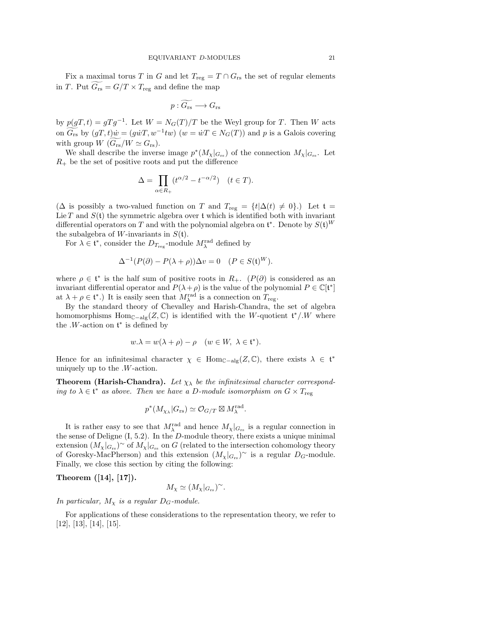Fix a maximal torus  $T$  in  $G$  and let  $T_{\text{reg}} = T \cap G_{\text{rs}}$  the set of regular elements in T. Put  $G_{rs} = G/T \times T_{reg}$  and define the map

$$
p: \widetilde{G_{\text{rs}}}\longrightarrow G_{\text{rs}}
$$

by  $p(gT, t) = gTg^{-1}$ . Let  $W = N_G(T)/T$  be the Weyl group for T. Then W acts on  $G_{rs}$  by  $(gT, t)\dot{w} = (g\dot{w}T, w^{-1}tw)$   $(w = \dot{w}T \in N_G(T))$  and p is a Galois covering with group  $W$  ( $G_{rs}/W \simeq G_{rs}$ ).

We shall describe the inverse image  $p^*(M_\chi|_{G_{rs}})$  of the connection  $M_\chi|_{G_{rs}}$ . Let  $R_+$  be the set of positive roots and put the difference

$$
\Delta = \prod_{\alpha \in R_+} (t^{\alpha/2} - t^{-\alpha/2}) \quad (t \in T).
$$

( $\Delta$  is possibly a two-valued function on T and  $T_{reg} = \{t | \Delta(t) \neq 0\}$ .) Let  $t =$ Lie T and  $S(t)$  the symmetric algebra over t which is identified both with invariant differential operators on T and with the polynomial algebra on  $\mathfrak{t}^*$ . Denote by  $S(\mathfrak{t})^W$ the subalgebra of W-invariants in  $S(t)$ .

For  $\lambda \in \mathfrak{t}^*$ , consider the  $D_{T_{\text{reg}}}$ -module  $M_{\lambda}^{\text{rad}}$  defined by

$$
\Delta^{-1}(P(\partial) - P(\lambda + \rho))\Delta v = 0 \quad (P \in S(\mathfrak{t})^W).
$$

where  $\rho \in \mathfrak{t}^*$  is the half sum of positive roots in  $R_+$ .  $(P(\partial))$  is considered as an invariant differential operator and  $P(\lambda + \rho)$  is the value of the polynomial  $P \in \mathbb{C}[\mathfrak{t}^*]$ at  $\lambda + \rho \in \mathfrak{t}^*$ .) It is easily seen that  $M_{\lambda}^{\text{rad}}$  is a connection on  $T_{\text{reg}}$ .

By the standard theory of Chevalley and Harish-Chandra, the set of algebra homomorphisms Hom<sub>C−alg</sub>(Z, C) is identified with the W-quotient  $\mathfrak{t}^*/W$  where the  $W$ -action on  $\mathfrak{t}^*$  is defined by

$$
w.\lambda = w(\lambda + \rho) - \rho \quad (w \in W, \ \lambda \in \mathfrak{t}^*).
$$

Hence for an infinitesimal character  $\chi \in \text{Hom}_{\mathbb{C}-\text{alg}}(Z,\mathbb{C})$ , there exists  $\lambda \in \mathfrak{t}^*$ uniquely up to the .W-action.

**Theorem (Harish-Chandra).** Let  $\chi_{\lambda}$  be the infinitesimal character corresponding to  $\lambda \in \mathfrak{t}^*$  as above. Then we have a D-module isomorphism on  $G \times T_{\text{reg}}$ 

$$
p^*(M_{\chi_\lambda}|G_{\text{rs}}) \simeq \mathcal{O}_{G/T} \boxtimes M_\lambda^{\text{rad}}
$$

.

It is rather easy to see that  $M_{\lambda}^{\text{rad}}$  and hence  $M_{\chi}|_{G_{\text{rs}}}$  is a regular connection in the sense of Deligne  $(I, 5.2)$ . In the *D*-module theory, there exists a unique minimal extension  $(M_\chi|_{G_{\rm rs}})$ ~ of  $M_\chi|_{G_{\rm rs}}$  on G (related to the intersection cohomology theory of Goresky-MacPherson) and this extension  $(M_\chi|_{G_{rs}})^\sim$  is a regular  $D_G$ -module. Finally, we close this section by citing the following:

Theorem ([14], [17]).

$$
M_{\chi} \simeq (M_{\chi}|_{G_{\rm rs}})^{\sim}.
$$

In particular,  $M_{\chi}$  is a regular  $D_G$ -module.

For applications of these considerations to the representation theory, we refer to [12], [13], [14], [15].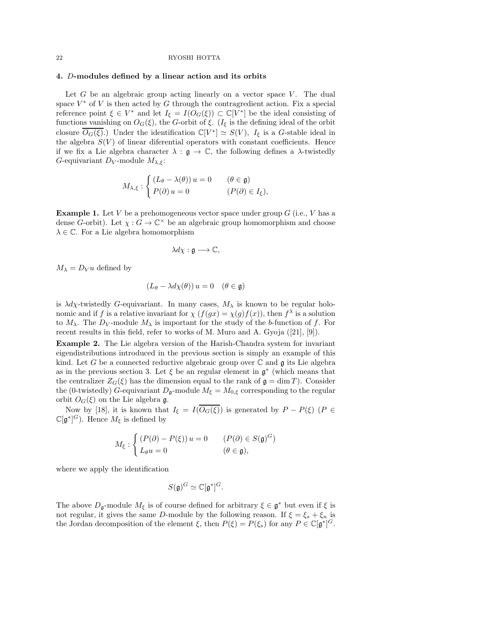# 4. D-modules defined by a linear action and its orbits

Let  $G$  be an algebraic group acting linearly on a vector space  $V$ . The dual space  $V^*$  of V is then acted by G through the contragredient action. Fix a special reference point  $\xi \in V^*$  and let  $I_{\xi} = I(O_G(\xi)) \subset \mathbb{C}[V^*]$  be the ideal consisting of functions vanishing on  $O_G(\xi)$ , the G-orbit of  $\xi$ . ( $I_{\xi}$  is the defining ideal of the orbit closure  $\overline{O_G(\xi)}$ .) Under the identification  $\mathbb{C}[V^*] \simeq S(V)$ ,  $I_{\xi}$  is a G-stable ideal in the algebra  $S(V)$  of linear diferential operators with constant coefficients. Hence if we fix a Lie algebra character  $\lambda : \mathfrak{g} \to \mathbb{C}$ , the following defines a  $\lambda$ -twistedly G-equivariant  $D_V$ -module  $M_{\lambda,\xi}$ :

$$
M_{\lambda,\xi} : \begin{cases} (L_{\theta} - \lambda(\theta)) u = 0 & (\theta \in \mathfrak{g}) \\ P(\partial) u = 0 & (P(\partial) \in I_{\xi}), \end{cases}
$$

**Example 1.** Let V be a prehomogeneous vector space under group  $G$  (i.e., V has a dense G-orbit). Let  $\chi : G \to \mathbb{C}^\times$  be an algebraic group homomorphism and choose  $\lambda \in \mathbb{C}$ . For a Lie algebra homomorphism

$$
\lambda d\chi : \mathfrak{g} \longrightarrow \mathbb{C},
$$

 $M_{\lambda} = D_V u$  defined by

$$
(L_{\theta} - \lambda d\chi(\theta)) u = 0 \quad (\theta \in \mathfrak{g})
$$

is  $\lambda d\chi$ -twistedly G-equivariant. In many cases,  $M_{\lambda}$  is known to be regular holonomic and if f is a relative invariant for  $\chi(f(gx)) = \chi(g)f(x)$ , then  $f^{\lambda}$  is a solution to  $M_{\lambda}$ . The  $D_V$ -module  $M_{\lambda}$  is important for the study of the b-function of f. For recent results in this field, refer to works of M. Muro and A. Gyoja ([21], [9]).

Example 2. The Lie algebra version of the Harish-Chandra system for invariant eigendistributions introduced in the previous section is simply an example of this kind. Let G be a connected reductive algebraic group over  $\mathbb C$  and  $\mathfrak g$  its Lie algebra as in the previous section 3. Let  $\xi$  be an regular element in  $\mathfrak{g}^*$  (which means that the centralizer  $Z_G(\xi)$  has the dimension equal to the rank of  $\mathfrak{g} = \dim T$ ). Consider the (0-twistedly) G-equivariant  $D_{\mathfrak{g}}$ -module  $M_{\xi} = M_{0,\xi}$  corresponding to the regular orbit  $O_G(\xi)$  on the Lie algebra g.

Now by [18], it is known that  $I_{\xi} = I(\overline{O_G(\xi)})$  is generated by  $P - P(\xi)$  ( $P \in$  $\mathbb{C}[\mathfrak{g}^*]^G$ ). Hence  $M_{\xi}$  is defined by

$$
M_{\xi}: \begin{cases} (P(\partial) - P(\xi)) u = 0 & (P(\partial) \in S(\mathfrak{g})^G) \\ L_{\theta}u = 0 & (\theta \in \mathfrak{g}), \end{cases}
$$

where we apply the identification

$$
S(\mathfrak{g})^G \simeq \mathbb{C}[\mathfrak{g}^*]^G.
$$

The above  $D_{\mathfrak{g}}$ -module  $M_{\xi}$  is of course defined for arbitrary  $\xi \in \mathfrak{g}^*$  but even if  $\xi$  is not regular, it gives the same D-module by the following reason. If  $\xi = \xi_s + \xi_n$  is the Jordan decomposition of the element  $\xi$ , then  $P(\xi) = P(\xi_s)$  for any  $P \in \mathbb{C}[\mathfrak{g}^*]^G$ .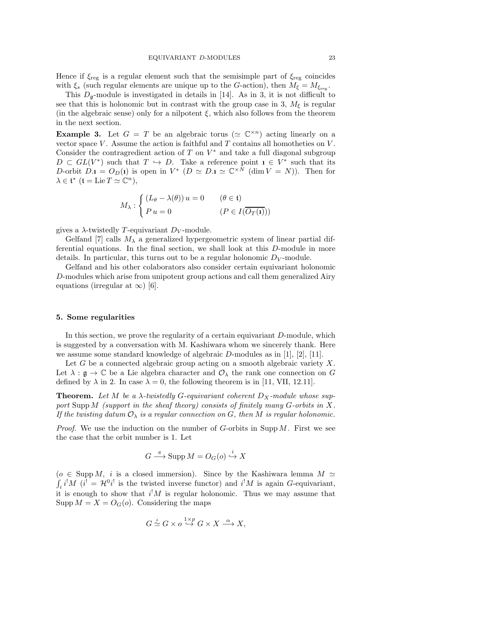Hence if  $\xi_{reg}$  is a regular element such that the semisimple part of  $\xi_{reg}$  coincides with  $\xi_s$  (such regular elements are unique up to the G-action), then  $M_{\xi} = M_{\xi_{\text{reg}}}$ .

This  $D_{\mathfrak{g}}$ -module is investigated in details in [14]. As in 3, it is not difficult to see that this is holonomic but in contrast with the group case in 3,  $M<sub>f</sub>$  is regular (in the algebraic sense) only for a nilpotent  $\xi$ , which also follows from the theorem in the next section.

**Example 3.** Let  $G = T$  be an algebraic torus ( $\approx \mathbb{C}^{\times n}$ ) acting linearly on a vector space  $V$ . Assume the action is faithful and  $T$  contains all homotheties on  $V$ . Consider the contragredient action of  $T$  on  $V^*$  and take a full diagonal subgroup  $D \subset GL(V^*)$  such that  $T \hookrightarrow D$ . Take a reference point  $\mathbf{1} \in V^*$  such that its D-orbit  $D \cdot \mathbf{i} = O_D(\mathbf{i})$  is open in  $V^*$   $(D \simeq D \cdot \mathbf{i} \simeq \mathbb{C}^{\times N}$   $(\dim V = N)$ ). Then for  $\lambda \in \mathfrak{t}^*$   $(\mathfrak{t} = \mathrm{Lie} \, T \simeq \mathbb{C}^n),$ 

$$
M_{\lambda}: \begin{cases} (L_{\theta} - \lambda(\theta)) u = 0 & (\theta \in \mathfrak{t}) \\ P u = 0 & (P \in I(\overline{O_T(\mathfrak{t})})) \end{cases}
$$

gives a  $\lambda$ -twistedly T-equivariant D<sub>V</sub>-module.

Gelfand [7] calls  $M_{\lambda}$  a generalized hypergeometric system of linear partial differential equations. In the final section, we shall look at this D-module in more details. In particular, this turns out to be a regular holonomic  $D_V$ -module.

Gelfand and his other colaborators also consider certain equivariant holonomic D-modules which arise from unipotent group actions and call them generalized Airy equations (irregular at  $\infty$ ) [6].

### 5. Some regularities

In this section, we prove the regularity of a certain equivariant D-module, which is suggested by a conversation with M. Kashiwara whom we sincerely thank. Here we assume some standard knowledge of algebraic  $D$ -modules as in [1], [2], [11].

Let  $G$  be a connected algebraic group acting on a smooth algebraic variety  $X$ . Let  $\lambda : \mathfrak{g} \to \mathbb{C}$  be a Lie algebra character and  $\mathcal{O}_{\lambda}$  the rank one connection on G defined by  $\lambda$  in 2. In case  $\lambda = 0$ , the following theorem is in [11, VII, 12.11].

**Theorem.** Let M be a  $\lambda$ -twistedly G-equivariant coherent  $D_X$ -module whose support Supp M (support in the sheaf theory) consists of finitely many  $G$ -orbits in X. If the twisting datum  $\mathcal{O}_{\lambda}$  is a regular connection on G, then M is regular holonomic.

*Proof.* We use the induction on the number of  $G$ -orbits in Supp  $M$ . First we see the case that the orbit number is 1. Let

$$
G \xrightarrow{\pi} \text{Supp } M = O_G(o) \xrightarrow{i} X
$$

( $o \in \text{Supp } M$ , *i* is a closed immersion). Since by the Kashiwara lemma  $M \simeq$  $i_i i^! M$  ( $i^! = \mathcal{H}^0 i^!$  is the twisted inverse functor) and  $i^! M$  is again G-equivariant, it is enough to show that  $i^!M$  is regular holonomic. Thus we may assume that Supp  $M = X = O<sub>G</sub>(o)$ . Considering the maps

$$
G \xrightarrow{\iota} G \times o \xrightarrow{1 \times p} G \times X \xrightarrow{\alpha} X,
$$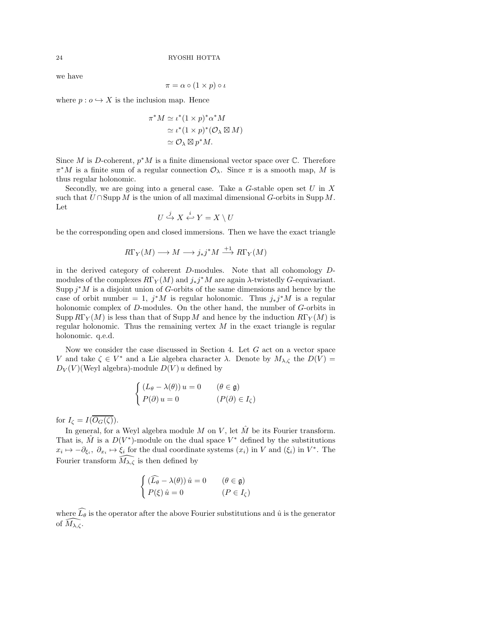we have

$$
\pi = \alpha \circ (1 \times p) \circ \iota
$$

where  $p: o \hookrightarrow X$  is the inclusion map. Hence

$$
\pi^* M \simeq \iota^*(1 \times p)^* \alpha^* M
$$
  
\n
$$
\simeq \iota^*(1 \times p)^* (\mathcal{O}_\lambda \boxtimes M)
$$
  
\n
$$
\simeq \mathcal{O}_\lambda \boxtimes p^* M.
$$

Since M is D-coherent,  $p^*M$  is a finite dimensional vector space over  $\mathbb C$ . Therefore  $\pi^*M$  is a finite sum of a regular connection  $\mathcal{O}_{\lambda}$ . Since  $\pi$  is a smooth map, M is thus regular holonomic.

Secondly, we are going into a general case. Take a  $G$ -stable open set  $U$  in  $X$ such that  $U \cap \text{Supp } M$  is the union of all maximal dimensional G-orbits in Supp M. Let

$$
U \stackrel{j}{\hookrightarrow} X \stackrel{i}{\hookleftarrow} Y = X \setminus U
$$

be the corresponding open and closed immersions. Then we have the exact triangle

$$
R\Gamma_Y(M) \longrightarrow M \longrightarrow j_*j^*M \stackrel{+1}{\longrightarrow} R\Gamma_Y(M)
$$

in the derived category of coherent D-modules. Note that all cohomology Dmodules of the complexes  $R\Gamma_Y(M)$  and  $j_*j^*M$  are again  $\lambda$ -twistedly G-equivariant. Supp  $j^*M$  is a disjoint union of G-orbits of the same dimensions and hence by the case of orbit number = 1,  $j^*M$  is regular holonomic. Thus  $j_*j^*M$  is a regular holonomic complex of D-modules. On the other hand, the number of G-orbits in Supp  $R\Gamma_Y(M)$  is less than that of Supp M and hence by the induction  $R\Gamma_Y(M)$  is regular holonomic. Thus the remaining vertex  $M$  in the exact triangle is regular holonomic. q.e.d.

Now we consider the case discussed in Section 4. Let  $G$  act on a vector space V and take  $\zeta \in V^*$  and a Lie algebra character  $\lambda$ . Denote by  $M_{\lambda,\zeta}$  the  $D(V)$  =  $D_V(V)$ (Weyl algebra)-module  $D(V)$  u defined by

$$
\begin{cases}\n(L_{\theta} - \lambda(\theta)) u = 0 & (\theta \in \mathfrak{g}) \\
P(\partial) u = 0 & (P(\partial) \in I_{\zeta})\n\end{cases}
$$

for  $I_{\zeta} = I(\overline{O_G(\zeta)})$ .

In general, for a Weyl algebra module M on V, let  $\hat{M}$  be its Fourier transform. That is,  $\hat{M}$  is a  $D(V^*)$ -module on the dual space  $V^*$  defined by the substitutions  $x_i \mapsto -\partial_{\xi_i}, \ \partial_{x_i} \mapsto \xi_i$  for the dual coordinate systems  $(x_i)$  in V and  $(\xi_i)$  in  $V^*$ . The Fourier transform  $\widetilde{M}_{\lambda,\zeta}$  is then defined by

$$
\begin{cases}\n(\widehat{L_{\theta}} - \lambda(\theta)) \hat{u} = 0 & (\theta \in \mathfrak{g}) \\
P(\xi) \hat{u} = 0 & (P \in I_{\zeta})\n\end{cases}
$$

where  $\widehat{L}_{\theta}$  is the operator after the above Fourier substitutions and  $\hat{u}$  is the generator of  $\widehat{M_{\lambda,\zeta}}$ .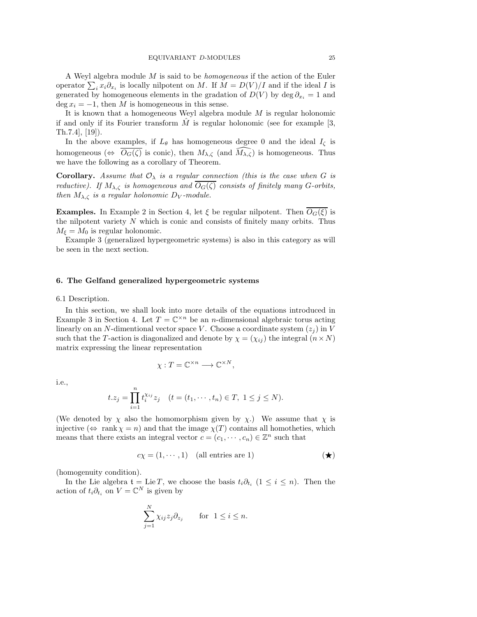A Weyl algebra module M is said to be homogeneous if the action of the Euler operator  $\sum_i x_i \partial_{x_i}$  is locally nilpotent on M. If  $M = D(V)/I$  and if the ideal I is generated by homogeneous elements in the gradation of  $D(V)$  by deg  $\partial_{x_i} = 1$  and  $\deg x_i = -1$ , then M is homogeneous in this sense.

It is known that a homogeneous Weyl algebra module M is regular holonomic if and only if its Fourier transform  $\tilde{M}$  is regular holonomic (see for example [3, Th.7.4], [19]).

In the above examples, if  $L_{\theta}$  has homogeneous degree 0 and the ideal  $I_{\zeta}$  is homogeneous ( $\Leftrightarrow$   $O_G(\zeta)$  is conic), then  $M_{\lambda,\zeta}$  (and  $M_{\lambda,\zeta}$ ) is homogeneous. Thus we have the following as a corollary of Theorem.

**Corollary.** Assume that  $\mathcal{O}_{\lambda}$  is a regular connection (this is the case when G is reductive). If  $M_{\lambda,\zeta}$  is homogeneous and  $O_G(\zeta)$  consists of finitely many G-orbits, then  $M_{\lambda,\zeta}$  is a regular holonomic D<sub>V</sub>-module.

**Examples.** In Example 2 in Section 4, let  $\xi$  be regular nilpotent. Then  $O_G(\xi)$  is the nilpotent variety  $N$  which is conic and consists of finitely many orbits. Thus  $M_{\xi} = M_0$  is regular holonomic.

Example 3 (generalized hypergeometric systems) is also in this category as will be seen in the next section.

### 6. The Gelfand generalized hypergeometric systems

6.1 Description.

In this section, we shall look into more details of the equations introduced in Example 3 in Section 4. Let  $T = \mathbb{C}^{\times n}$  be an *n*-dimensional algebraic torus acting linearly on an N-dimentional vector space V. Choose a coordinate system  $(z_i)$  in V such that the T-action is diagonalized and denote by  $\chi = (\chi_{ij})$  the integral  $(n \times N)$ matrix expressing the linear representation

$$
\chi: T = \mathbb{C}^{\times n} \longrightarrow \mathbb{C}^{\times N},
$$

i.e.,

$$
t.z_j = \prod_{i=1}^n t_i^{\chi_{ij}} z_j \quad (t = (t_1, \dots, t_n) \in T, \ 1 \le j \le N).
$$

(We denoted by  $\chi$  also the homomorphism given by  $\chi$ .) We assume that  $\chi$  is injective  $(\Leftrightarrow \text{rank } \chi = n)$  and that the image  $\chi(T)$  contains all homotheties, which means that there exists an integral vector  $c = (c_1, \dots, c_n) \in \mathbb{Z}^n$  such that

$$
c\chi = (1, \cdots, 1) \quad \text{(all entries are 1)} \tag{\star}
$$

(homogenuity condition).

In the Lie algebra  $t = \text{Lie } T$ , we choose the basis  $t_i \partial_{t_i}$   $(1 \leq i \leq n)$ . Then the action of  $t_i \partial_{t_i}$  on  $V = \mathbb{C}^N$  is given by

$$
\sum_{j=1}^{N} \chi_{ij} z_j \partial_{z_j} \quad \text{for } 1 \le i \le n.
$$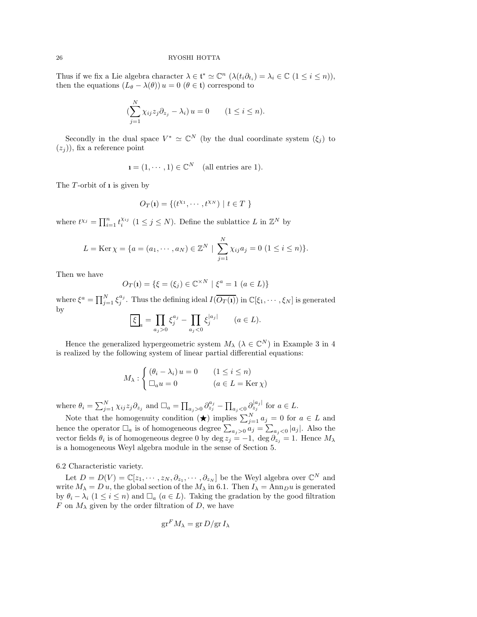Thus if we fix a Lie algebra character  $\lambda \in \mathfrak{t}^* \simeq \mathbb{C}^n$   $(\lambda(t_i \partial_{t_i}) = \lambda_i \in \mathbb{C} \ (1 \leq i \leq n)),$ then the equations  $(L_{\theta} - \lambda(\theta)) u = 0 \ (\theta \in \mathfrak{t})$  correspond to

$$
\left(\sum_{j=1}^N \chi_{ij} z_j \partial_{z_j} - \lambda_i\right) u = 0 \qquad (1 \le i \le n).
$$

Secondly in the dual space  $V^* \simeq \mathbb{C}^N$  (by the dual coordinate system  $(\xi_j)$  to  $(z_i)$ , fix a reference point

$$
\mathbf{i} = (1, \cdots, 1) \in \mathbb{C}^N \quad \text{(all entries are 1)}.
$$

The  $T$ -orbit of **i** is given by

$$
O_T(\mathbf{1}) = \{(t^{X_1}, \cdots, t^{X_N}) \mid t \in T \}
$$

where  $t^{\chi_j} = \prod_{i=1}^n t_i^{\chi_{ij}}$   $(1 \leq j \leq N)$ . Define the sublattice L in  $\mathbb{Z}^N$  by

$$
L = \text{Ker}\,\chi = \{a = (a_1, \cdots, a_N) \in \mathbb{Z}^N \mid \sum_{j=1}^N \chi_{ij} a_j = 0 \ (1 \le i \le n) \}.
$$

Then we have

$$
O_T(\mathbf{1}) = \{ \xi = (\xi_j) \in \mathbb{C}^{\times N} \mid \xi^a = 1 \ (a \in L) \}
$$

where  $\xi^a = \prod_{j=1}^N \xi_j^{a_j}$ . Thus the defining ideal  $I(\overline{O_T(\mathbf{i})})$  in  $\mathbb{C}[\xi_1, \cdots, \xi_N]$  is generated by  $\overline{\phantom{a}}$ 

$$
\underline{\xi}_a = \prod_{a_j > 0} \xi_j^{a_j} - \prod_{a_j < 0} \xi_j^{|a_j|} \qquad (a \in L).
$$

Hence the generalized hypergeometric system  $M_{\lambda}$  ( $\lambda \in \mathbb{C}^{N}$ ) in Example 3 in 4 is realized by the following system of linear partial differential equations:

$$
M_{\lambda}: \begin{cases} (\theta_i - \lambda_i) u = 0 & (1 \leq i \leq n) \\ \Box_a u = 0 & (a \in L = \text{Ker }\chi) \end{cases}
$$

where  $\theta_i = \sum_{j=1}^N \chi_{ij} z_j \partial_{z_j}$  and  $\Box_a = \prod_{a_j>0} \partial_{z_j}^{a_j} - \prod_{a_j<0} \partial_{z_j}^{|a_j|}$  for  $a \in L$ .

Note that the homogenuity condition  $(\star)$  implies  $\sum_{j=1}^{N} a_j = 0$  for  $a \in L$  and hence the operator  $\Box_a$  is of homogeneous degree  $\sum_{a_j>0} a_j = \sum_{a_j<0} |a_j|$ . Also the vector fields  $\theta_i$  is of homogeneous degree 0 by deg  $z_j = -1$ , deg  $\partial_{z_j} = 1$ . Hence  $M_\lambda$ is a homogeneous Weyl algebra module in the sense of Section 5.

6.2 Characteristic variety.

Let  $D = D(V) = \mathbb{C}[z_1, \dots, z_N, \partial_{z_1}, \dots, \partial_{z_N}]$  be the Weyl algebra over  $\mathbb{C}^N$  and write  $M_{\lambda} = D u$ , the global section of the  $M_{\lambda}$  in 6.1. Then  $I_{\lambda} = \text{Ann}_{D} u$  is generated by  $\theta_i - \lambda_i$  (1 ≤ i ≤ n) and  $\Box_a$  (a ∈ L). Taking the gradation by the good filtration F on  $M_{\lambda}$  given by the order filtration of D, we have

$$
\operatorname{gr}^F M_\lambda = \operatorname{gr} D / \operatorname{gr} I_\lambda
$$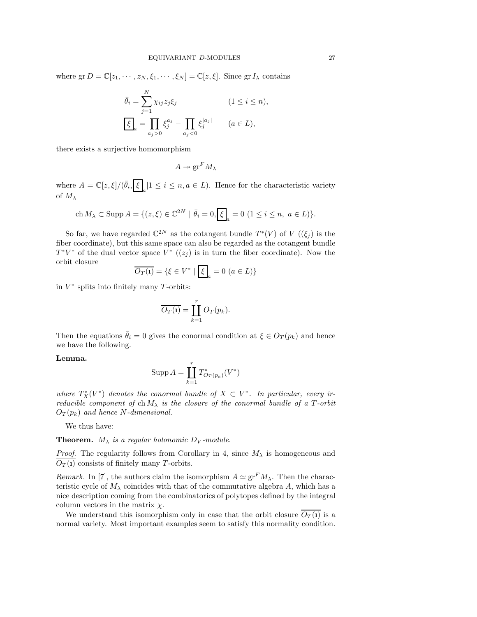where  $gr D = \mathbb{C}[z_1, \dots, z_N, \xi_1, \dots, \xi_N] = \mathbb{C}[z, \xi]$ . Since  $gr I_\lambda$  contains

$$
\bar{\theta}_i = \sum_{j=1}^N \chi_{ij} z_j \xi_j \qquad (1 \le i \le n),
$$
  

$$
\boxed{\xi}_a = \prod_{a_j > 0} \xi_j^{a_j} - \prod_{a_j < 0} \xi_j^{|a_j|} \qquad (a \in L),
$$

there exists a surjective homomorphism

$$
A \twoheadrightarrow \operatorname{gr}^F M_\lambda
$$

where  $A = \mathbb{C}[z,\xi]/(\bar{\theta}_i,\bar{\xi}_a | 1 \leq i \leq n, a \in L)$ . Hence for the characteristic variety of  $M_{\lambda}$ 

$$
\text{ch}\,M_{\lambda} \subset \text{Supp}\,A = \{ (z,\xi) \in \mathbb{C}^{2N} \mid \bar{\theta}_i = 0, \boxed{\xi}_a = 0 \ (1 \le i \le n, \ a \in L) \}.
$$

So far, we have regarded  $\mathbb{C}^{2N}$  as the cotangent bundle  $T^*(V)$  of  $V((\xi_j)$  is the fiber coordinate), but this same space can also be regarded as the cotangent bundle  $T^*V^*$  of the dual vector space  $V^*$   $((z_j)$  is in turn the fiber coordinate). Now the orbit closure

$$
\overline{O_T(\mathbf{1})} = \{ \xi \in V^* \mid \boxed{\xi}_a = 0 \ (a \in L) \}
$$

in  $V^*$  splits into finitely many T-orbits:

$$
\overline{O_T(\mathbf{1})} = \coprod_{k=1}^r O_T(p_k).
$$

Then the equations  $\bar{\theta}_i = 0$  gives the conormal condition at  $\xi \in O_T(p_k)$  and hence we have the following.

# Lemma.

$$
\operatorname{Supp} A = \coprod_{k=1}^r T^*_{O_T(p_k)}(V^*)
$$

where  $T_X^*(V^*)$  denotes the conormal bundle of  $X \subset V^*$ . In particular, every irreducible component of ch $M_{\lambda}$  is the closure of the conormal bundle of a T-orbit  $O_T(p_k)$  and hence N-dimensional.

We thus have:

**Theorem.**  $M_{\lambda}$  is a regular holonomic  $D_V$ -module.

*Proof.* The regularity follows from Corollary in 4, since  $M_{\lambda}$  is homogeneous and  $\overline{O_T(i)}$  consists of finitely many T-orbits.

Remark. In [7], the authors claim the isomorphism  $A \simeq \text{gr}^F M_\lambda$ . Then the characteristic cycle of  $M_{\lambda}$  coincides with that of the commutative algebra A, which has a nice description coming from the combinatorics of polytopes defined by the integral column vectors in the matrix  $\chi$ .

We understand this isomorphism only in case that the orbit closure  $\overline{O_T(i)}$  is a normal variety. Most important examples seem to satisfy this normality condition.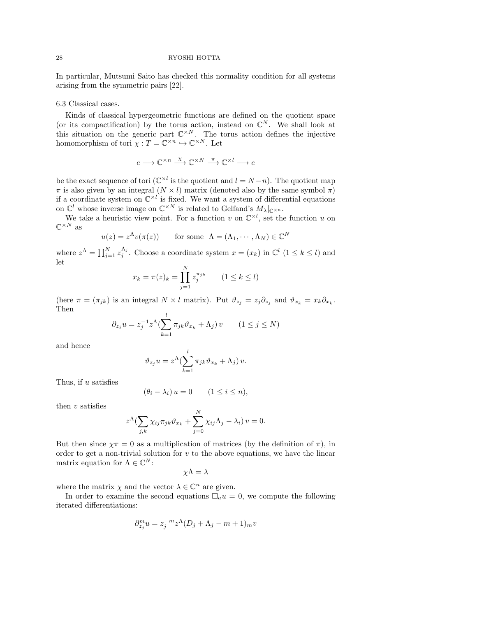In particular, Mutsumi Saito has checked this normality condition for all systems arising from the symmetric pairs [22].

#### 6.3 Classical cases.

Kinds of classical hypergeometric functions are defined on the quotient space (or its compactification) by the torus action, instead on  $\mathbb{C}^N$ . We shall look at this situation on the generic part  $\mathbb{C}^{\times N}$ . The torus action defines the injective homomorphism of tori  $\chi: T = \mathbb{C}^{\times n} \hookrightarrow \mathbb{C}^{\times N}$ . Let

$$
e \longrightarrow \mathbb{C}^{\times n} \stackrel{\chi}{\longrightarrow} \mathbb{C}^{\times N} \stackrel{\pi}{\longrightarrow} \mathbb{C}^{\times l} \longrightarrow e
$$

be the exact sequence of tori  $(\mathbb{C}^{\times l}$  is the quotient and  $l = N - n$ ). The quotient map  $\pi$  is also given by an integral  $(N \times l)$  matrix (denoted also by the same symbol  $\pi$ ) if a coordinate system on  $\mathbb{C}^{\times l}$  is fixed. We want a system of differential equations on  $\mathbb{C}^l$  whose inverse image on  $\mathbb{C}^{\times N}$  is related to Gelfand's  $M_\lambda|_{\mathbb{C}^{\times n}}$ .

We take a heuristic view point. For a function v on  $\mathbb{C}^{\times l}$ , set the function u on  $\mathbb{C}^{\times N}$  as

$$
u(z) = z^{\Lambda}v(\pi(z))
$$
 for some  $\Lambda = (\Lambda_1, \cdots, \Lambda_N) \in \mathbb{C}^N$ 

where  $z^{\Lambda} = \prod_{j=1}^{N} z_j^{\Lambda_j}$ . Choose a coordinate system  $x = (x_k)$  in  $\mathbb{C}^l$   $(1 \leq k \leq l)$  and let

$$
x_k = \pi(z)_k = \prod_{j=1}^N z_j^{\pi_{jk}} \qquad (1 \le k \le l)
$$

(here  $\pi = (\pi_{jk})$  is an integral  $N \times l$  matrix). Put  $\vartheta_{z_j} = z_j \partial_{z_j}$  and  $\vartheta_{x_k} = x_k \partial_{x_k}$ . Then

$$
\partial_{z_j} u = z_j^{-1} z^{\Lambda} \left( \sum_{k=1}^l \pi_{jk} \vartheta_{x_k} + \Lambda_j \right) v \qquad (1 \le j \le N)
$$

and hence

$$
\vartheta_{z_j} u = z^{\Lambda} (\sum_{k=1}^{s} \pi_{jk} \vartheta_{x_k} + \Lambda_j) v.
$$

l

Thus, if u satisfies

$$
(\theta_i - \lambda_i) u = 0 \qquad (1 \le i \le n),
$$

then  $v$  satisfies

$$
z^{\Lambda} \left( \sum_{j,k} \chi_{ij} \pi_{jk} \vartheta_{x_k} + \sum_{j=0}^{N} \chi_{ij} \Lambda_j - \lambda_i \right) v = 0.
$$

But then since  $\gamma \pi = 0$  as a multiplication of matrices (by the definition of  $\pi$ ), in order to get a non-trivial solution for  $v$  to the above equations, we have the linear matrix equation for  $\Lambda \in \mathbb{C}^N$ :

$$
\chi\Lambda=\lambda
$$

where the matrix  $\chi$  and the vector  $\lambda \in \mathbb{C}^n$  are given.

In order to examine the second equations  $\Box_a u = 0$ , we compute the following iterated differentiations:

$$
\partial_{z_j}^m u = z_j^{-m} z^{\Lambda} (D_j + \Lambda_j - m + 1)_m v
$$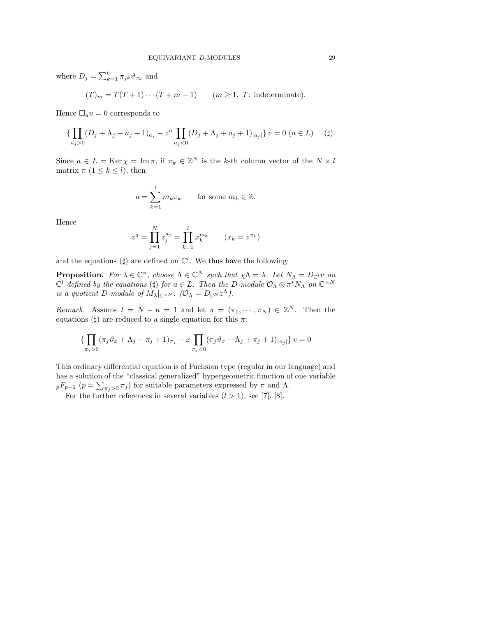where  $D_j = \sum_{k=1}^l \pi_{jk} \vartheta_{x_k}$  and

$$
(T)_m = T(T+1)\cdots(T+m-1) \qquad (m \ge 1, T: \text{indeterminate}).
$$

Hence  $\Box_a u = 0$  corresponds to

$$
\{\prod_{a_j>0}(D_j+\Lambda_j-a_j+1)_{a_j}-z^a\prod_{a_j<0}(D_j+\Lambda_j+a_j+1)_{|a_j|}\}\,v=0\,\,(a\in L)\quad\text{(#)}.
$$

Since  $a \in L = \text{Ker } \chi = \text{Im } \pi$ , if  $\pi_k \in \mathbb{Z}^N$  is the k-th column vector of the  $N \times l$ matrix  $\pi$  (1  $\leq$  k  $\leq$  l), then

$$
a = \sum_{k=1}^{l} m_k \pi_k \quad \text{for some } m_k \in \mathbb{Z}.
$$

Hence

$$
z^{a} = \prod_{j=1}^{N} z_{j}^{a_{j}} = \prod_{k=1}^{l} x_{k}^{m_{k}} \qquad (x_{k} = z^{\pi_{k}})
$$

and the equations ( $\sharp$ ) are defined on  $\mathbb{C}^l$ . We thus have the following:

**Proposition.** For  $\lambda \in \mathbb{C}^n$ , choose  $\Lambda \in \mathbb{C}^N$  such that  $\chi \Lambda = \lambda$ . Let  $N_{\Lambda} = D_{\mathbb{C}^l} v$  on  $\mathbb{C}^l$  defined by the equations ( $\sharp$ ) for  $a \in L$ . Then the D-module  $\mathcal{O}_{\Lambda} \otimes \pi^* N_{\Lambda}$  on  $\mathbb{C}^{\times N}$ is a quotient D-module of  $M_\lambda|_{\mathbb{C}^{\times N}}$ .  $(\mathcal{O}_\Lambda = D_{\mathbb{C}^N} z^\Lambda)$ .

Remark. Assume  $l = N - n = 1$  and let  $\pi = (\pi_1, \dots, \pi_N) \in \mathbb{Z}^N$ . Then the equations ( $\sharp$ ) are reduced to a single equation for this  $\pi$ :

$$
\{\prod_{\pi_j>0}(\pi_j\vartheta_x+\Lambda_j-\pi_j+1)_{\pi_j}-x\prod_{\pi_j<0}(\pi_j\vartheta_x+\Lambda_j+\pi_j+1)_{|\pi_j|}\}\,v=0
$$

This ordinary differential equation is of Fuchsian type (regular in our language) and has a solution of the "classical generalized" hypergeometric function of one variable  $pF_{p-1}$   $(p = \sum_{\pi_j > 0} \pi_j)$  for suitable parameters expressed by  $\pi$  and  $\Lambda$ .

For the further references in several variables  $(l > 1)$ , see [7], [8].